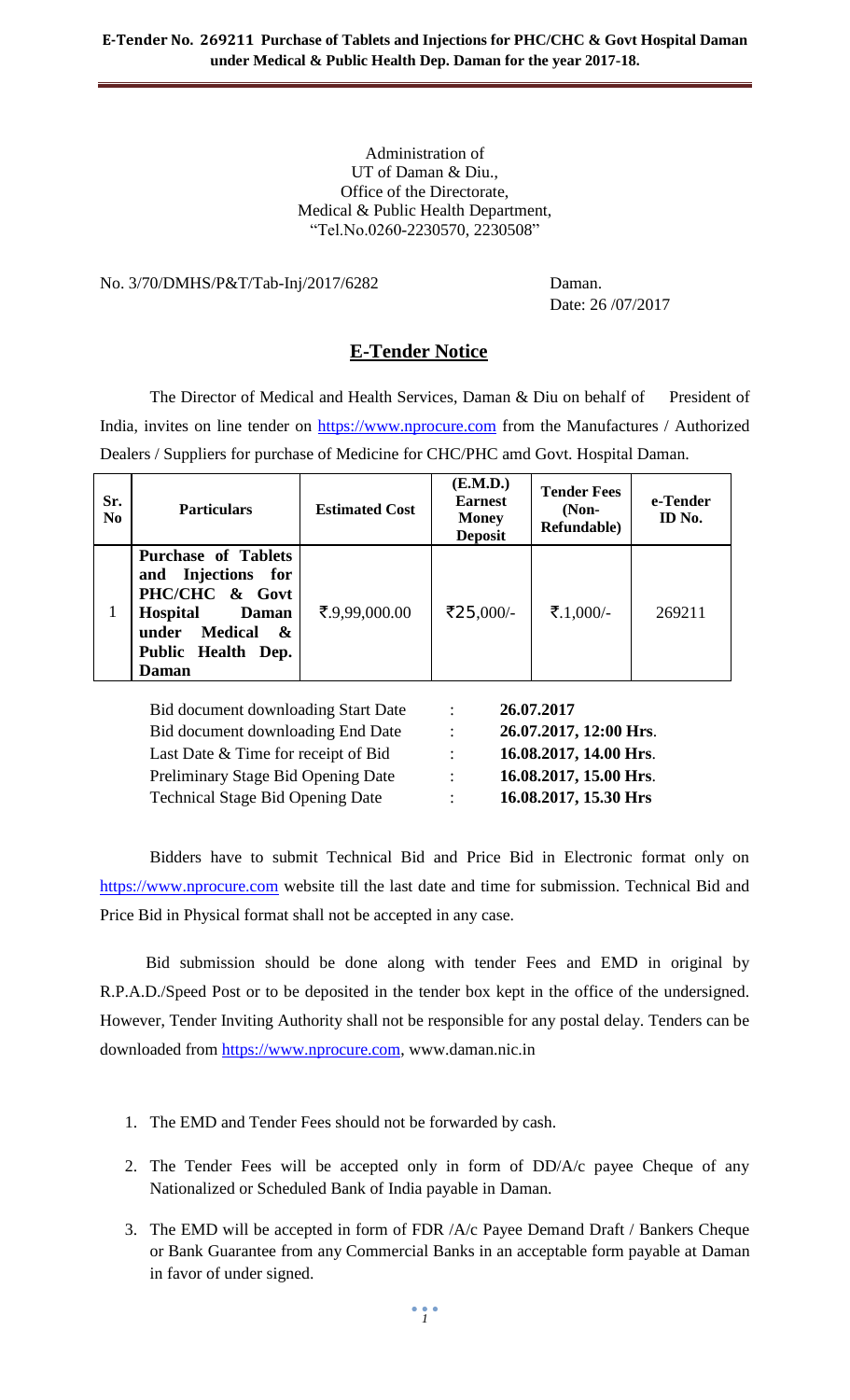#### Administration of UT of Daman & Diu., Office of the Directorate, Medical & Public Health Department, "Tel.No.0260-2230570, 2230508"

#### No. 3/70/DMHS/P&T/Tab-Inj/2017/6282 Daman.

Date: 26 /07/2017

# **E-Tender Notice**

The Director of Medical and Health Services, Daman & Diu on behalf of President of India, invites on line tender on [https://www.nprocure.com](https://www.nprocure.com/) from the Manufactures / Authorized Dealers / Suppliers for purchase of Medicine for CHC/PHC amd Govt. Hospital Daman.

| Sr.<br>N <sub>0</sub> | <b>Particulars</b>                                                                                                                                               | <b>Estimated Cost</b> | (E.M.D.)<br><b>Earnest</b><br><b>Money</b><br><b>Deposit</b> | <b>Tender Fees</b><br>$(Non-$<br><b>Refundable</b> ) | e-Tender<br>ID No. |
|-----------------------|------------------------------------------------------------------------------------------------------------------------------------------------------------------|-----------------------|--------------------------------------------------------------|------------------------------------------------------|--------------------|
| 1                     | <b>Purchase of Tablets</b><br>Injections for<br>and<br>PHC/CHC & Govt<br><b>Hospital</b><br>Daman<br><b>Medical</b><br>under<br>&<br>Public Health Dep.<br>Daman | ₹.9,99,000.00         | ₹25,000/-                                                    | ₹.1,000/-                                            | 269211             |

Bid document downloading Start Date : **26.07.2017** Bid document downloading End Date : **26.07.2017, 12:00 Hrs**. Last Date & Time for receipt of Bid : **16.08.2017, 14.00 Hrs**. Preliminary Stage Bid Opening Date : **16.08.2017, 15.00 Hrs**. Technical Stage Bid Opening Date : **16.08.2017, 15.30 Hrs**

Bidders have to submit Technical Bid and Price Bid in Electronic format only on [https://www.nprocure.com](https://www.nprocure.com/) website till the last date and time for submission. Technical Bid and Price Bid in Physical format shall not be accepted in any case.

 Bid submission should be done along with tender Fees and EMD in original by R.P.A.D./Speed Post or to be deposited in the tender box kept in the office of the undersigned. However, Tender Inviting Authority shall not be responsible for any postal delay. Tenders can be downloaded from [https://www.nprocure.com,](https://www.nprocure.com/) www.daman.nic.in

- 1. The EMD and Tender Fees should not be forwarded by cash.
- 2. The Tender Fees will be accepted only in form of DD/A/c payee Cheque of any Nationalized or Scheduled Bank of India payable in Daman.
- 3. The EMD will be accepted in form of FDR /A/c Payee Demand Draft / Bankers Cheque or Bank Guarantee from any Commercial Banks in an acceptable form payable at Daman in favor of under signed.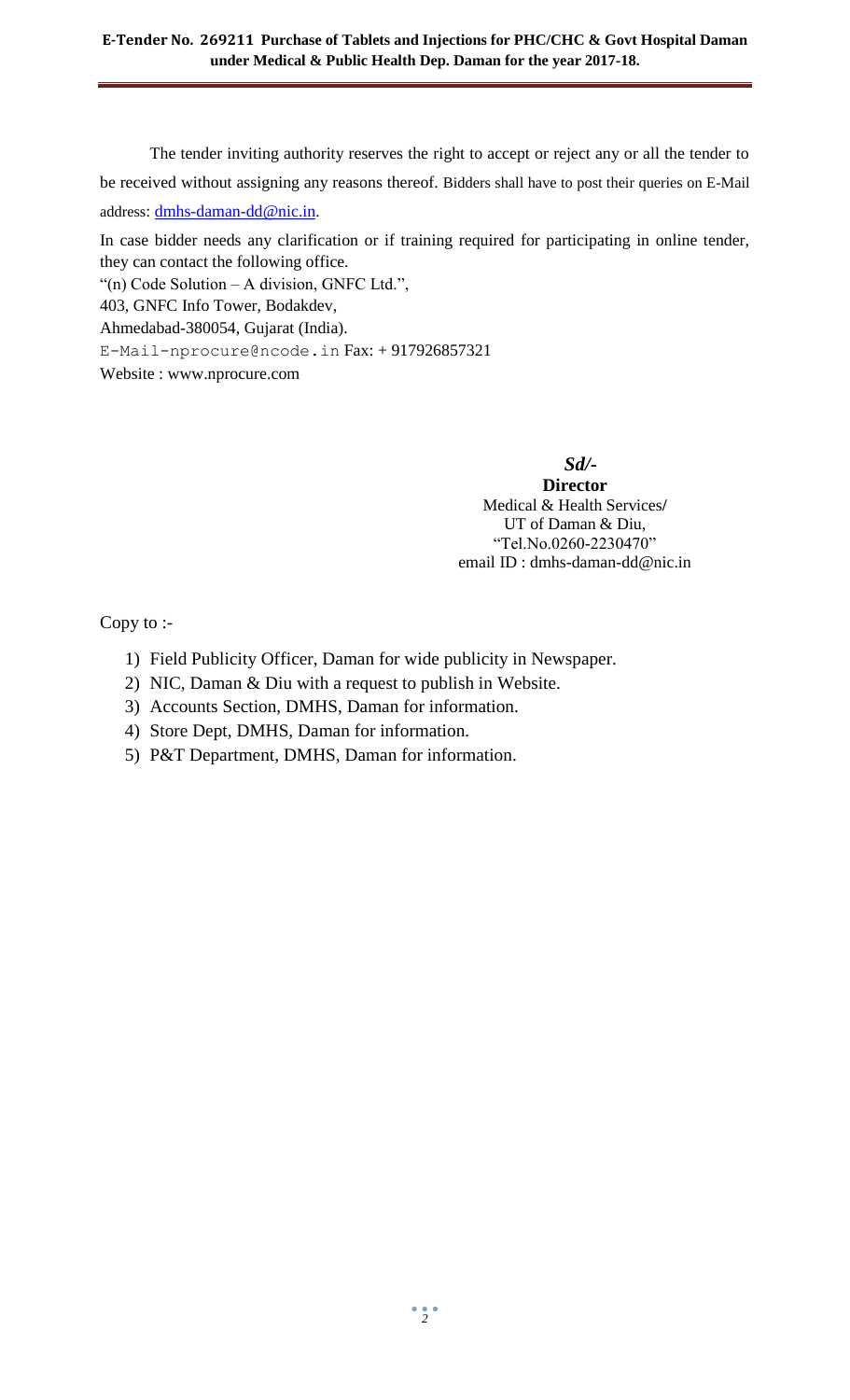The tender inviting authority reserves the right to accept or reject any or all the tender to be received without assigning any reasons thereof. Bidders shall have to post their queries on E-Mail address: [dmhs-daman-dd@nic.in.](mailto:dmhs-daman-dd@nic.in)

In case bidder needs any clarification or if training required for participating in online tender, they can contact the following office.

"(n) Code Solution – A division, GNFC Ltd.",

403, GNFC Info Tower, Bodakdev,

Ahmedabad-380054, Gujarat (India).

[E-Mail-nprocure@ncode.in](mailto:E-Mail-nprocure@ncode.in) Fax: + 917926857321

Website : [www.nprocure.com](http://www.nprocure.com/)

 *Sd/-*

**Director** Medical & Health Services**/** UT of Daman & Diu, "Tel.No.0260-2230470" email ID : dmhs-daman-dd@nic.in

Copy to :-

- 1) Field Publicity Officer, Daman for wide publicity in Newspaper.
- 2) NIC, Daman & Diu with a request to publish in Website.
- 3) Accounts Section, DMHS, Daman for information.
- 4) Store Dept, DMHS, Daman for information.
- 5) P&T Department, DMHS, Daman for information.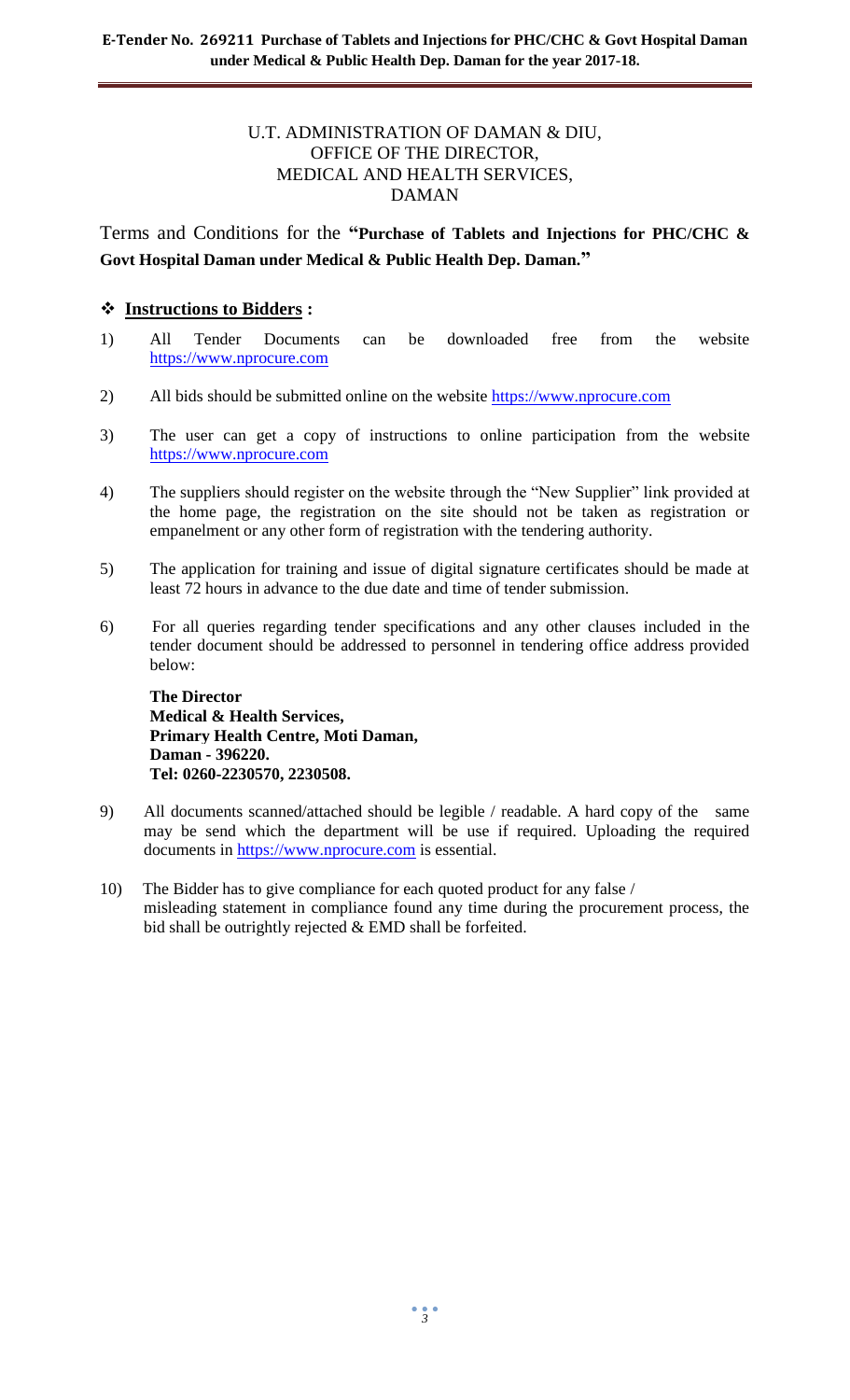# U.T. ADMINISTRATION OF DAMAN & DIU, OFFICE OF THE DIRECTOR, MEDICAL AND HEALTH SERVICES, DAMAN

Terms and Conditions for the **"Purchase of Tablets and Injections for PHC/CHC & Govt Hospital Daman under Medical & Public Health Dep. Daman."**

# **Instructions to Bidders :**

- 1) All Tender Documents can be downloaded free from the website [https://www.nprocure.com](https://www.nprocure.com/)
- 2) All bids should be submitted online on the website [https://www.nprocure.com](https://www.nprocure.com/)
- 3) The user can get a copy of instructions to online participation from the website [https://www.nprocure.com](https://www.nprocure.com/)
- 4) The suppliers should register on the website through the "New Supplier" link provided at the home page, the registration on the site should not be taken as registration or empanelment or any other form of registration with the tendering authority.
- 5) The application for training and issue of digital signature certificates should be made at least 72 hours in advance to the due date and time of tender submission.
- 6) For all queries regarding tender specifications and any other clauses included in the tender document should be addressed to personnel in tendering office address provided below:

**The Director Medical & Health Services, Primary Health Centre, Moti Daman, Daman - 396220. Tel: 0260-2230570, 2230508.**

- 9) All documents scanned/attached should be legible / readable. A hard copy of the same may be send which the department will be use if required. Uploading the required documents in [https://www.nprocure.com](https://www.nprocure.com/) is essential.
- 10) The Bidder has to give compliance for each quoted product for any false / misleading statement in compliance found any time during the procurement process, the bid shall be outrightly rejected & EMD shall be forfeited.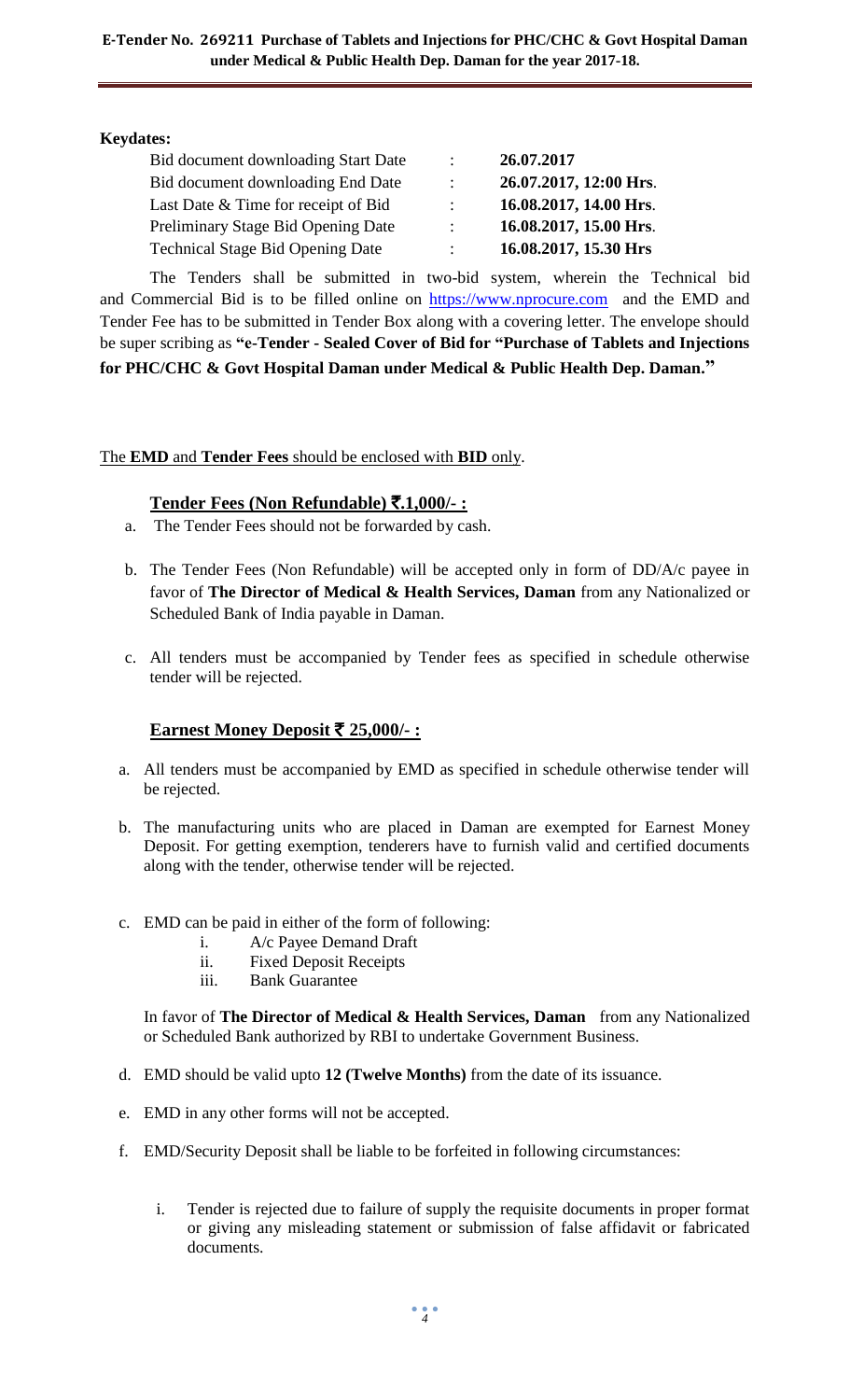**Keydates:**

| Bid document downloading Start Date     | ٠.                        | 26.07.2017             |
|-----------------------------------------|---------------------------|------------------------|
| Bid document downloading End Date       | $\ddot{\phantom{0}}$      | 26.07.2017, 12:00 Hrs. |
| Last Date & Time for receipt of Bid     | $\mathbb{R}^{\mathbb{Z}}$ | 16.08.2017, 14.00 Hrs. |
| Preliminary Stage Bid Opening Date      | $\mathcal{L}$             | 16.08.2017, 15.00 Hrs. |
| <b>Technical Stage Bid Opening Date</b> | $\ddot{\phantom{0}}$      | 16.08.2017, 15.30 Hrs  |

 The Tenders shall be submitted in two-bid system, wherein the Technical bid and Commercial Bid is to be filled online on [https://www.nprocure.com](https://www.nprocure.com/) and the EMD and Tender Fee has to be submitted in Tender Box along with a covering letter. The envelope should be super scribing as **"e-Tender - Sealed Cover of Bid for "Purchase of Tablets and Injections for PHC/CHC & Govt Hospital Daman under Medical & Public Health Dep. Daman."**

# The **EMD** and **Tender Fees** should be enclosed with **BID** only.

# **Tender Fees (Non Refundable)** `**.1,000/- :**

- a. The Tender Fees should not be forwarded by cash.
- b. The Tender Fees (Non Refundable) will be accepted only in form of DD/A/c payee in favor of **The Director of Medical & Health Services, Daman** from any Nationalized or Scheduled Bank of India payable in Daman.
- c. All tenders must be accompanied by Tender fees as specified in schedule otherwise tender will be rejected.

# **<u>Earnest Money Deposit ₹ 25,000/-:</u>**

- a. All tenders must be accompanied by EMD as specified in schedule otherwise tender will be rejected.
- b. The manufacturing units who are placed in Daman are exempted for Earnest Money Deposit. For getting exemption, tenderers have to furnish valid and certified documents along with the tender, otherwise tender will be rejected.
- c. EMD can be paid in either of the form of following:
	- i. A/c Payee Demand Draft
	- ii. Fixed Deposit Receipts
	- iii. Bank Guarantee

In favor of **The Director of Medical & Health Services, Daman** from any Nationalized or Scheduled Bank authorized by RBI to undertake Government Business.

- d. EMD should be valid upto **12 (Twelve Months)** from the date of its issuance.
- e. EMD in any other forms will not be accepted.
- f. EMD/Security Deposit shall be liable to be forfeited in following circumstances:
	- i. Tender is rejected due to failure of supply the requisite documents in proper format or giving any misleading statement or submission of false affidavit or fabricated documents.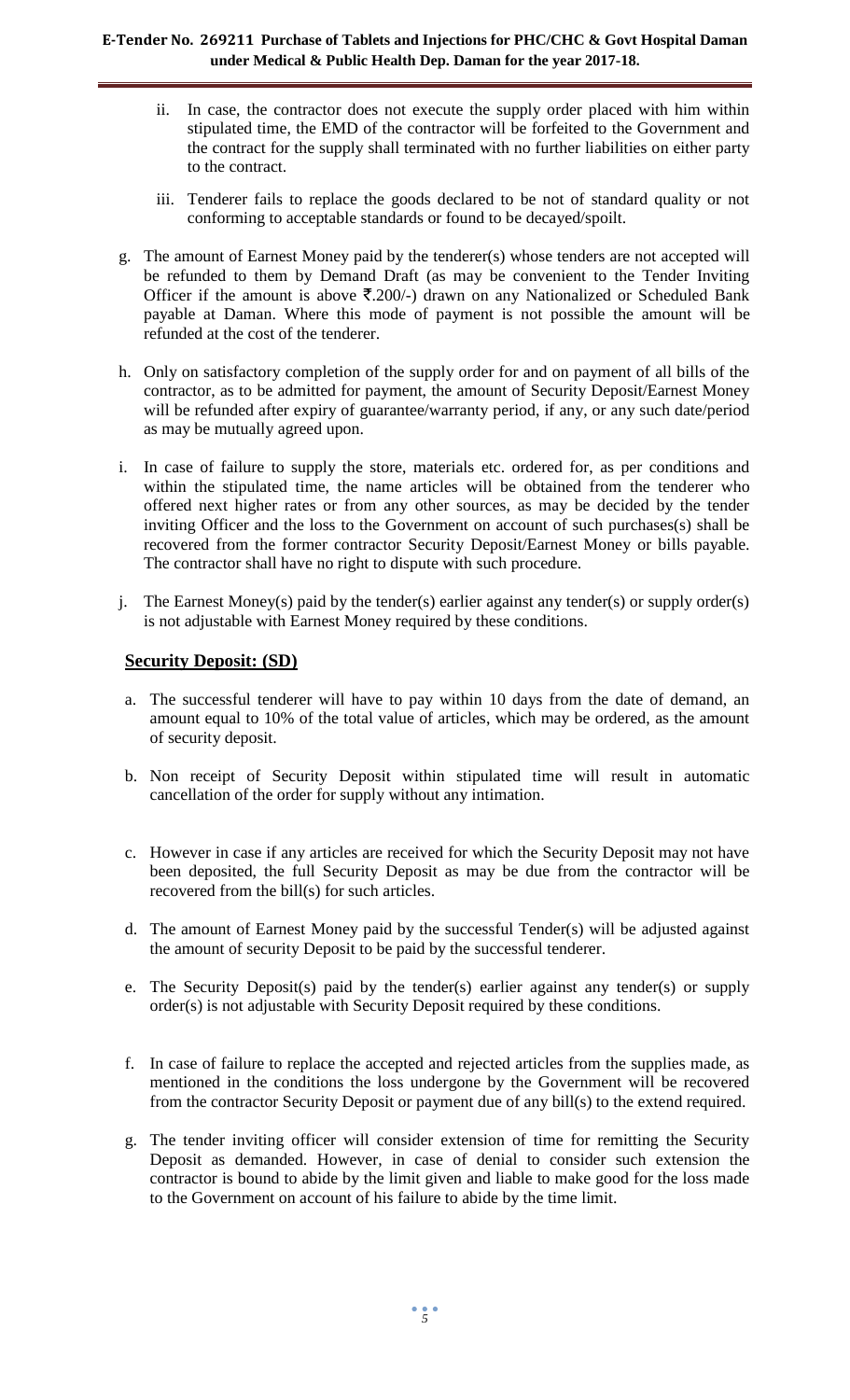- ii. In case, the contractor does not execute the supply order placed with him within stipulated time, the EMD of the contractor will be forfeited to the Government and the contract for the supply shall terminated with no further liabilities on either party to the contract.
- iii. Tenderer fails to replace the goods declared to be not of standard quality or not conforming to acceptable standards or found to be decayed/spoilt.
- g. The amount of Earnest Money paid by the tenderer(s) whose tenders are not accepted will be refunded to them by Demand Draft (as may be convenient to the Tender Inviting Officer if the amount is above  $\overline{\xi}$ .200/-) drawn on any Nationalized or Scheduled Bank payable at Daman. Where this mode of payment is not possible the amount will be refunded at the cost of the tenderer.
- h. Only on satisfactory completion of the supply order for and on payment of all bills of the contractor, as to be admitted for payment, the amount of Security Deposit/Earnest Money will be refunded after expiry of guarantee/warranty period, if any, or any such date/period as may be mutually agreed upon.
- i. In case of failure to supply the store, materials etc. ordered for, as per conditions and within the stipulated time, the name articles will be obtained from the tenderer who offered next higher rates or from any other sources, as may be decided by the tender inviting Officer and the loss to the Government on account of such purchases(s) shall be recovered from the former contractor Security Deposit/Earnest Money or bills payable. The contractor shall have no right to dispute with such procedure.
- j. The Earnest Money(s) paid by the tender(s) earlier against any tender(s) or supply order(s) is not adjustable with Earnest Money required by these conditions.

# **Security Deposit: (SD)**

- a. The successful tenderer will have to pay within 10 days from the date of demand, an amount equal to 10% of the total value of articles, which may be ordered, as the amount of security deposit.
- b. Non receipt of Security Deposit within stipulated time will result in automatic cancellation of the order for supply without any intimation.
- c. However in case if any articles are received for which the Security Deposit may not have been deposited, the full Security Deposit as may be due from the contractor will be recovered from the bill(s) for such articles.
- d. The amount of Earnest Money paid by the successful Tender(s) will be adjusted against the amount of security Deposit to be paid by the successful tenderer.
- e. The Security Deposit(s) paid by the tender(s) earlier against any tender(s) or supply order(s) is not adjustable with Security Deposit required by these conditions.
- f. In case of failure to replace the accepted and rejected articles from the supplies made, as mentioned in the conditions the loss undergone by the Government will be recovered from the contractor Security Deposit or payment due of any bill(s) to the extend required.
- g. The tender inviting officer will consider extension of time for remitting the Security Deposit as demanded. However, in case of denial to consider such extension the contractor is bound to abide by the limit given and liable to make good for the loss made to the Government on account of his failure to abide by the time limit.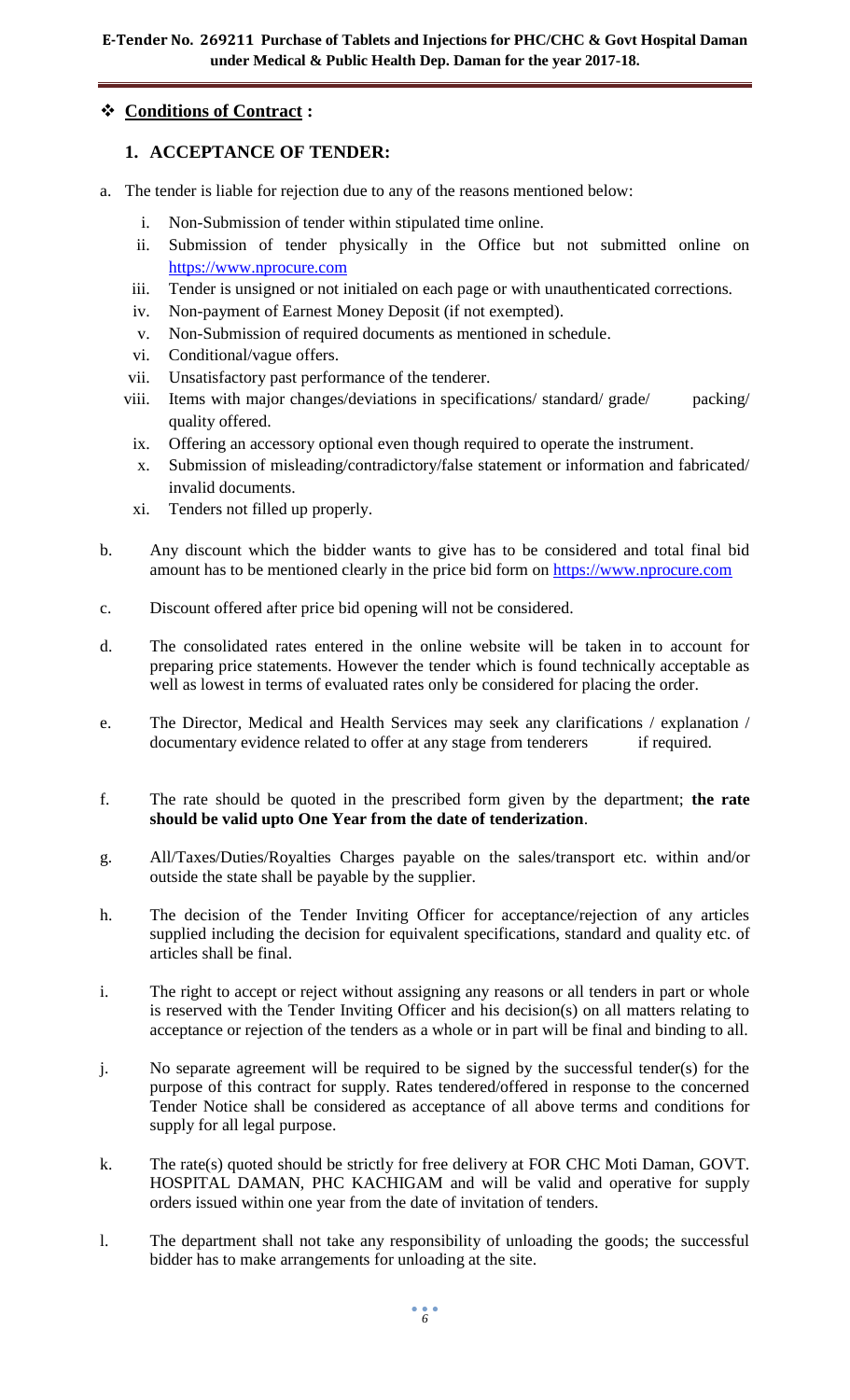# **Conditions of Contract :**

# **1. ACCEPTANCE OF TENDER:**

- a. The tender is liable for rejection due to any of the reasons mentioned below:
	- i. Non-Submission of tender within stipulated time online.
	- ii. Submission of tender physically in the Office but not submitted online on [https://www.nprocure.com](https://www.nprocure.com/)
	- iii. Tender is unsigned or not initialed on each page or with unauthenticated corrections.
	- iv. Non-payment of Earnest Money Deposit (if not exempted).
	- v. Non-Submission of required documents as mentioned in schedule.
	- vi. Conditional/vague offers.
	- vii. Unsatisfactory past performance of the tenderer.
	- viii. Items with major changes/deviations in specifications/ standard/ grade/ packing/ quality offered.
	- ix. Offering an accessory optional even though required to operate the instrument.
	- x. Submission of misleading/contradictory/false statement or information and fabricated/ invalid documents.
	- xi. Tenders not filled up properly.
- b. Any discount which the bidder wants to give has to be considered and total final bid amount has to be mentioned clearly in the price bid form on [https://www.nprocure.com](https://www.nprocure.com/)
- c. Discount offered after price bid opening will not be considered.
- d. The consolidated rates entered in the online website will be taken in to account for preparing price statements. However the tender which is found technically acceptable as well as lowest in terms of evaluated rates only be considered for placing the order.
- e. The Director, Medical and Health Services may seek any clarifications / explanation / documentary evidence related to offer at any stage from tenderers if required.
- f. The rate should be quoted in the prescribed form given by the department; **the rate should be valid upto One Year from the date of tenderization**.
- g. All/Taxes/Duties/Royalties Charges payable on the sales/transport etc. within and/or outside the state shall be payable by the supplier.
- h. The decision of the Tender Inviting Officer for acceptance/rejection of any articles supplied including the decision for equivalent specifications, standard and quality etc. of articles shall be final.
- i. The right to accept or reject without assigning any reasons or all tenders in part or whole is reserved with the Tender Inviting Officer and his decision(s) on all matters relating to acceptance or rejection of the tenders as a whole or in part will be final and binding to all.
- j. No separate agreement will be required to be signed by the successful tender(s) for the purpose of this contract for supply. Rates tendered/offered in response to the concerned Tender Notice shall be considered as acceptance of all above terms and conditions for supply for all legal purpose.
- k. The rate(s) quoted should be strictly for free delivery at FOR CHC Moti Daman, GOVT. HOSPITAL DAMAN, PHC KACHIGAM and will be valid and operative for supply orders issued within one year from the date of invitation of tenders.
- l. The department shall not take any responsibility of unloading the goods; the successful bidder has to make arrangements for unloading at the site.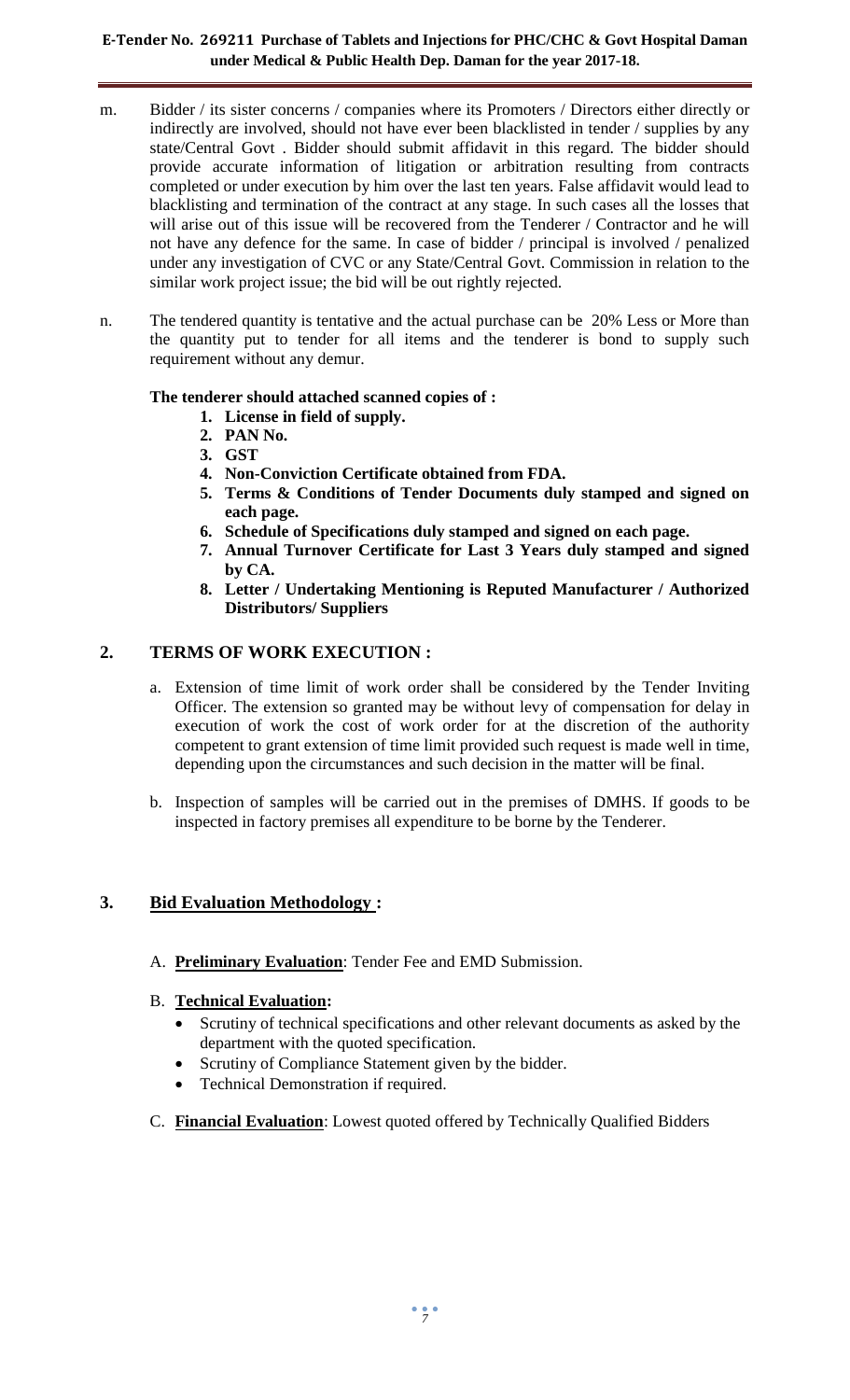- m. Bidder / its sister concerns / companies where its Promoters / Directors either directly or indirectly are involved, should not have ever been blacklisted in tender / supplies by any state/Central Govt . Bidder should submit affidavit in this regard. The bidder should provide accurate information of litigation or arbitration resulting from contracts completed or under execution by him over the last ten years. False affidavit would lead to blacklisting and termination of the contract at any stage. In such cases all the losses that will arise out of this issue will be recovered from the Tenderer / Contractor and he will not have any defence for the same. In case of bidder / principal is involved / penalized under any investigation of CVC or any State/Central Govt. Commission in relation to the similar work project issue; the bid will be out rightly rejected.
- n. The tendered quantity is tentative and the actual purchase can be 20% Less or More than the quantity put to tender for all items and the tenderer is bond to supply such requirement without any demur.

### **The tenderer should attached scanned copies of :**

- **1. License in field of supply.**
- **2. PAN No.**
- **3. GST**
- **4. Non-Conviction Certificate obtained from FDA.**
- **5. Terms & Conditions of Tender Documents duly stamped and signed on each page.**
- **6. Schedule of Specifications duly stamped and signed on each page.**
- **7. Annual Turnover Certificate for Last 3 Years duly stamped and signed by CA.**
- **8. Letter / Undertaking Mentioning is Reputed Manufacturer / Authorized Distributors/ Suppliers**

# **2. TERMS OF WORK EXECUTION :**

- a. Extension of time limit of work order shall be considered by the Tender Inviting Officer. The extension so granted may be without levy of compensation for delay in execution of work the cost of work order for at the discretion of the authority competent to grant extension of time limit provided such request is made well in time, depending upon the circumstances and such decision in the matter will be final.
- b. Inspection of samples will be carried out in the premises of DMHS. If goods to be inspected in factory premises all expenditure to be borne by the Tenderer.

# **3. Bid Evaluation Methodology :**

A. **Preliminary Evaluation**: Tender Fee and EMD Submission.

# B. **Technical Evaluation:**

- Scrutiny of technical specifications and other relevant documents as asked by the department with the quoted specification.
- Scrutiny of Compliance Statement given by the bidder.
- Technical Demonstration if required.
- C. **Financial Evaluation**: Lowest quoted offered by Technically Qualified Bidders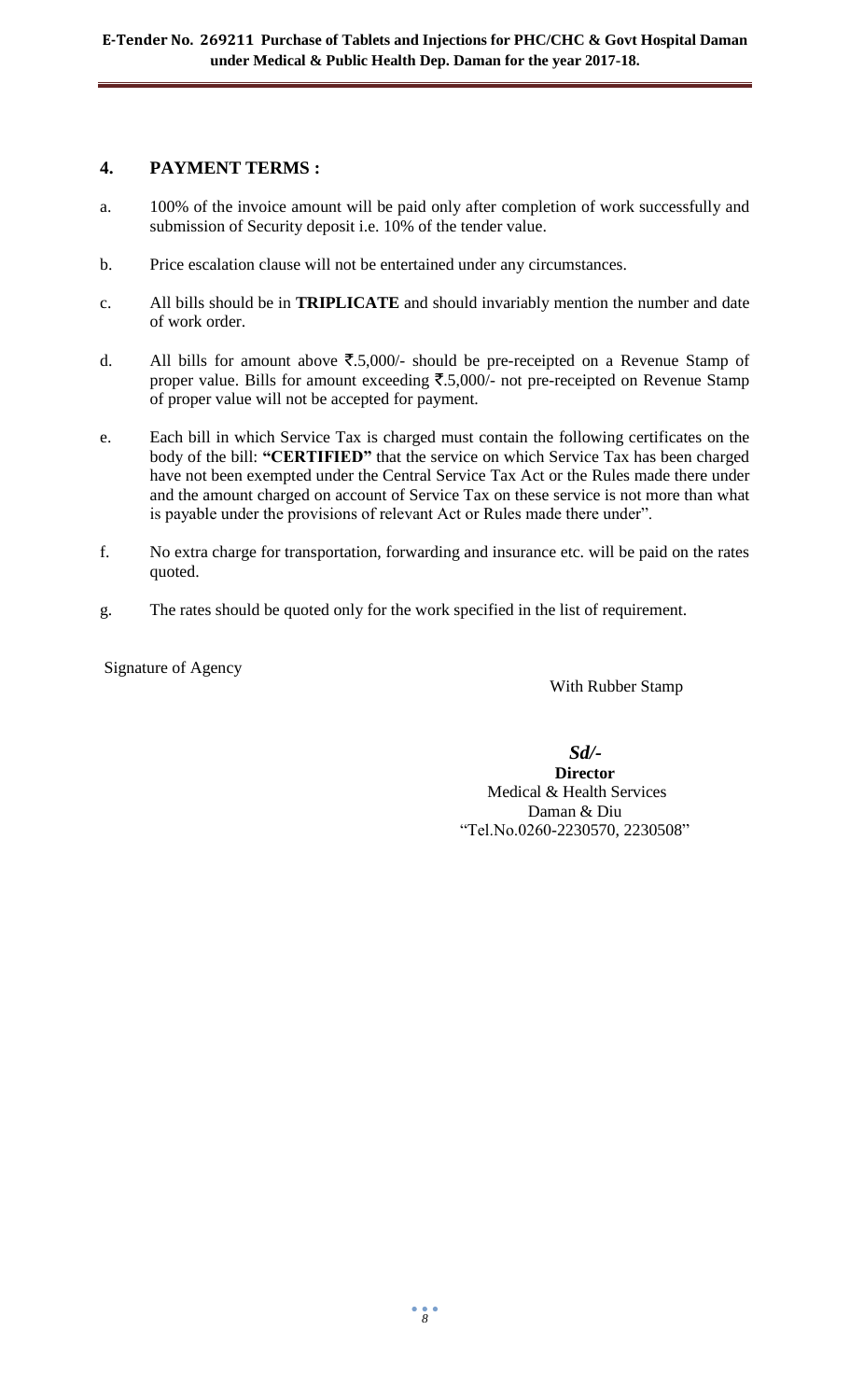# **4. PAYMENT TERMS :**

- a. 100% of the invoice amount will be paid only after completion of work successfully and submission of Security deposit i.e. 10% of the tender value.
- b. Price escalation clause will not be entertained under any circumstances.
- c. All bills should be in **TRIPLICATE** and should invariably mention the number and date of work order.
- d. All bills for amount above  $\overline{\mathfrak{F}}.5,000/$  should be pre-receipted on a Revenue Stamp of proper value. Bills for amount exceeding  $\overline{\mathfrak{F}}.5,000/-$  not pre-receipted on Revenue Stamp of proper value will not be accepted for payment.
- e. Each bill in which Service Tax is charged must contain the following certificates on the body of the bill: **"CERTIFIED"** that the service on which Service Tax has been charged have not been exempted under the Central Service Tax Act or the Rules made there under and the amount charged on account of Service Tax on these service is not more than what is payable under the provisions of relevant Act or Rules made there under".
- f. No extra charge for transportation, forwarding and insurance etc. will be paid on the rates quoted.
- g. The rates should be quoted only for the work specified in the list of requirement.

Signature of Agency

With Rubber Stamp

 *Sd/-* **Director** Medical & Health Services Daman & Diu "Tel.No.0260-2230570, 2230508"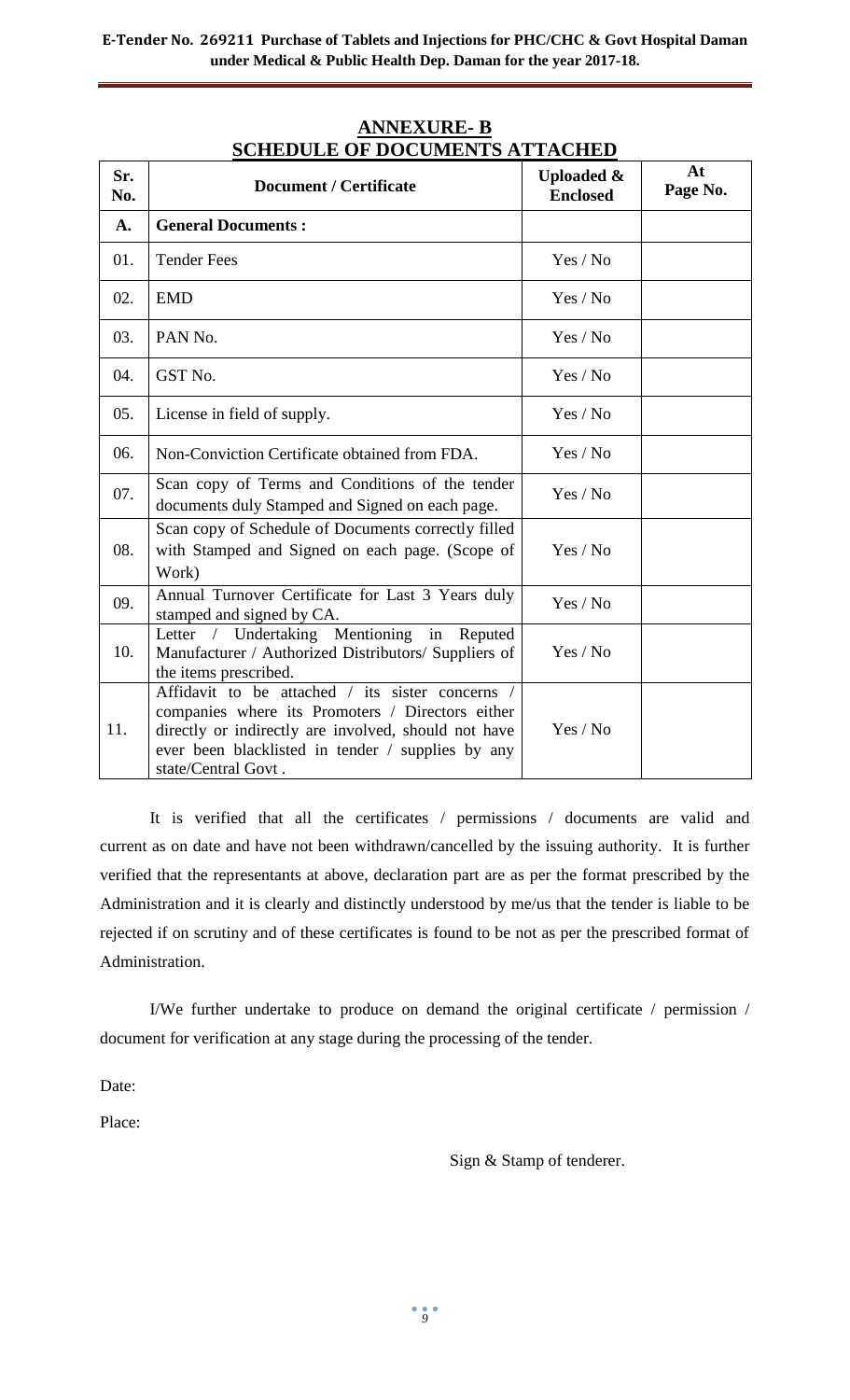| Sr.<br>No. | ED CEL OI DOCCMENTO MI<br><b>Document / Certificate</b>                                                                                                                                                                                  | <b>Uploaded &amp;</b><br><b>Enclosed</b> | At<br>Page No. |
|------------|------------------------------------------------------------------------------------------------------------------------------------------------------------------------------------------------------------------------------------------|------------------------------------------|----------------|
| A.         | <b>General Documents:</b>                                                                                                                                                                                                                |                                          |                |
| 01.        | <b>Tender Fees</b>                                                                                                                                                                                                                       | Yes / No                                 |                |
| 02.        | <b>EMD</b>                                                                                                                                                                                                                               | Yes / No                                 |                |
| 03.        | PAN No.                                                                                                                                                                                                                                  | Yes / No                                 |                |
| 04.        | GST No.                                                                                                                                                                                                                                  | Yes / No                                 |                |
| 05.        | License in field of supply.                                                                                                                                                                                                              | Yes / No                                 |                |
| 06.        | Non-Conviction Certificate obtained from FDA.                                                                                                                                                                                            | Yes / No                                 |                |
| 07.        | Scan copy of Terms and Conditions of the tender<br>documents duly Stamped and Signed on each page.                                                                                                                                       | Yes / No                                 |                |
| 08.        | Scan copy of Schedule of Documents correctly filled<br>with Stamped and Signed on each page. (Scope of<br>Work)                                                                                                                          | Yes / No                                 |                |
| 09.        | Annual Turnover Certificate for Last 3 Years duly<br>stamped and signed by CA.                                                                                                                                                           | Yes / No                                 |                |
| 10.        | Letter / Undertaking Mentioning<br>in Reputed<br>Manufacturer / Authorized Distributors/ Suppliers of<br>the items prescribed.                                                                                                           | Yes / No                                 |                |
| 11.        | Affidavit to be attached / its sister concerns /<br>companies where its Promoters / Directors either<br>directly or indirectly are involved, should not have<br>ever been blacklisted in tender / supplies by any<br>state/Central Govt. | Yes / No                                 |                |

# **ANNEXURE- B SCHEDULE OF DOCUMENTS ATTACHED**

It is verified that all the certificates / permissions / documents are valid and current as on date and have not been withdrawn/cancelled by the issuing authority. It is further verified that the representants at above, declaration part are as per the format prescribed by the Administration and it is clearly and distinctly understood by me/us that the tender is liable to be rejected if on scrutiny and of these certificates is found to be not as per the prescribed format of Administration.

I/We further undertake to produce on demand the original certificate / permission / document for verification at any stage during the processing of the tender.

Date:

Place:

Sign & Stamp of tenderer.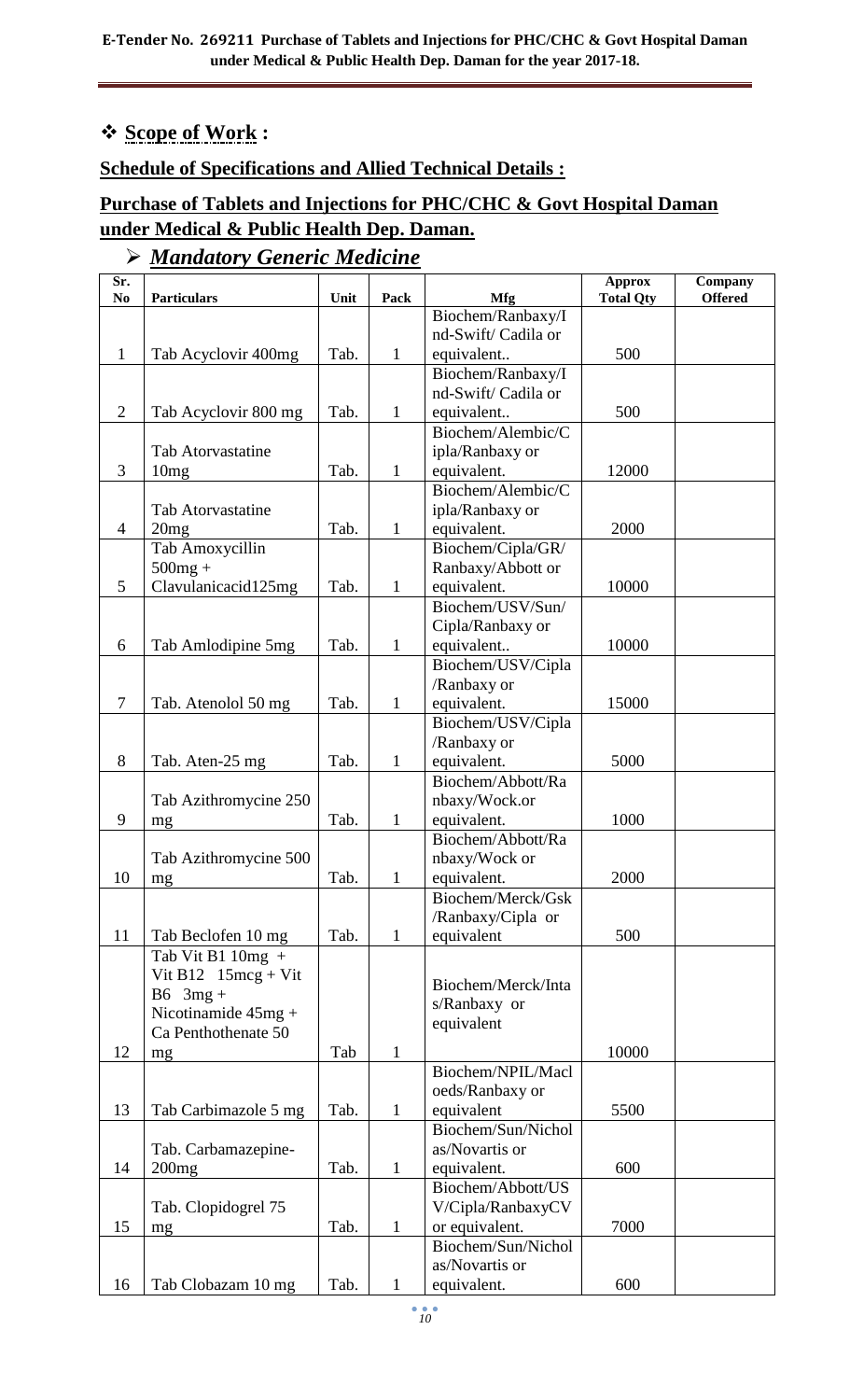# **Scope of Work :**

# **Schedule of Specifications and Allied Technical Details :**

# **Purchase of Tablets and Injections for PHC/CHC & Govt Hospital Daman under Medical & Public Health Dep. Daman.**

# *Mandatory Generic Medicine*

| Sr.<br>N <sub>0</sub> | <b>Particulars</b>       | Unit | Pack         | <b>Mfg</b>         | <b>Approx</b><br><b>Total Qty</b> | Company<br><b>Offered</b> |
|-----------------------|--------------------------|------|--------------|--------------------|-----------------------------------|---------------------------|
|                       |                          |      |              | Biochem/Ranbaxy/I  |                                   |                           |
|                       |                          |      |              | nd-Swift/Cadila or |                                   |                           |
| $\mathbf{1}$          | Tab Acyclovir 400mg      | Tab. | 1            | equivalent         | 500                               |                           |
|                       |                          |      |              | Biochem/Ranbaxy/I  |                                   |                           |
|                       |                          |      |              | nd-Swift/Cadila or |                                   |                           |
| $\overline{2}$        | Tab Acyclovir 800 mg     | Tab. | 1            | equivalent         | 500                               |                           |
|                       |                          |      |              | Biochem/Alembic/C  |                                   |                           |
|                       | <b>Tab Atorvastatine</b> |      |              | ipla/Ranbaxy or    |                                   |                           |
| 3                     | 10mg                     | Tab. | 1            | equivalent.        | 12000                             |                           |
|                       |                          |      |              | Biochem/Alembic/C  |                                   |                           |
|                       | <b>Tab Atorvastatine</b> |      |              | ipla/Ranbaxy or    |                                   |                           |
| 4                     | 20mg                     | Tab. | 1            | equivalent.        | 2000                              |                           |
|                       | Tab Amoxycillin          |      |              | Biochem/Cipla/GR/  |                                   |                           |
|                       | $500mg +$                |      |              | Ranbaxy/Abbott or  |                                   |                           |
| 5                     | Clavulanicacid125mg      | Tab. | 1            | equivalent.        | 10000                             |                           |
|                       |                          |      |              | Biochem/USV/Sun/   |                                   |                           |
|                       |                          |      |              | Cipla/Ranbaxy or   |                                   |                           |
| 6                     | Tab Amlodipine 5mg       | Tab. | 1            | equivalent         | 10000                             |                           |
|                       |                          |      |              | Biochem/USV/Cipla  |                                   |                           |
|                       |                          |      |              | /Ranbaxy or        |                                   |                           |
| 7                     | Tab. Atenolol 50 mg      | Tab. | 1            | equivalent.        | 15000                             |                           |
|                       |                          |      |              | Biochem/USV/Cipla  |                                   |                           |
|                       |                          |      |              | /Ranbaxy or        |                                   |                           |
| 8                     | Tab. Aten-25 mg          | Tab. | 1            | equivalent.        | 5000                              |                           |
|                       |                          |      |              | Biochem/Abbott/Ra  |                                   |                           |
|                       | Tab Azithromycine 250    |      |              | nbaxy/Wock.or      |                                   |                           |
| 9                     | mg                       | Tab. | 1            | equivalent.        | 1000                              |                           |
|                       |                          |      |              | Biochem/Abbott/Ra  |                                   |                           |
|                       | Tab Azithromycine 500    |      |              | nbaxy/Wock or      |                                   |                           |
| 10                    | mg                       | Tab. | 1            | equivalent.        | 2000                              |                           |
|                       |                          |      |              | Biochem/Merck/Gsk  |                                   |                           |
|                       |                          |      |              | /Ranbaxy/Cipla or  |                                   |                           |
| 11                    | Tab Beclofen 10 mg       | Tab. | 1            | equivalent         | 500                               |                           |
|                       | Tab Vit B1 $10mg +$      |      |              |                    |                                   |                           |
|                       | Vit B12 $15mg + Vit$     |      |              |                    |                                   |                           |
|                       | $B6 \quad 3mg +$         |      |              | Biochem/Merck/Inta |                                   |                           |
|                       | Nicotinamide $45mg +$    |      |              | s/Ranbaxy or       |                                   |                           |
|                       | Ca Penthothenate 50      |      |              | equivalent         |                                   |                           |
| 12                    | mg                       | Tab  | $\mathbf{1}$ |                    | 10000                             |                           |
|                       |                          |      |              | Biochem/NPIL/Macl  |                                   |                           |
|                       |                          |      |              | oeds/Ranbaxy or    |                                   |                           |
| 13                    | Tab Carbimazole 5 mg     | Tab. | 1            | equivalent         | 5500                              |                           |
|                       |                          |      |              | Biochem/Sun/Nichol |                                   |                           |
|                       | Tab. Carbamazepine-      |      |              | as/Novartis or     |                                   |                           |
| 14                    | 200mg                    | Tab. | $\mathbf{1}$ | equivalent.        | 600                               |                           |
|                       |                          |      |              | Biochem/Abbott/US  |                                   |                           |
|                       | Tab. Clopidogrel 75      |      |              | V/Cipla/RanbaxyCV  |                                   |                           |
| 15                    | mg                       | Tab. | 1            | or equivalent.     | 7000                              |                           |
|                       |                          |      |              | Biochem/Sun/Nichol |                                   |                           |
|                       |                          |      |              | as/Novartis or     |                                   |                           |
| 16                    | Tab Clobazam 10 mg       | Tab. | $\mathbf 1$  | equivalent.        | 600                               |                           |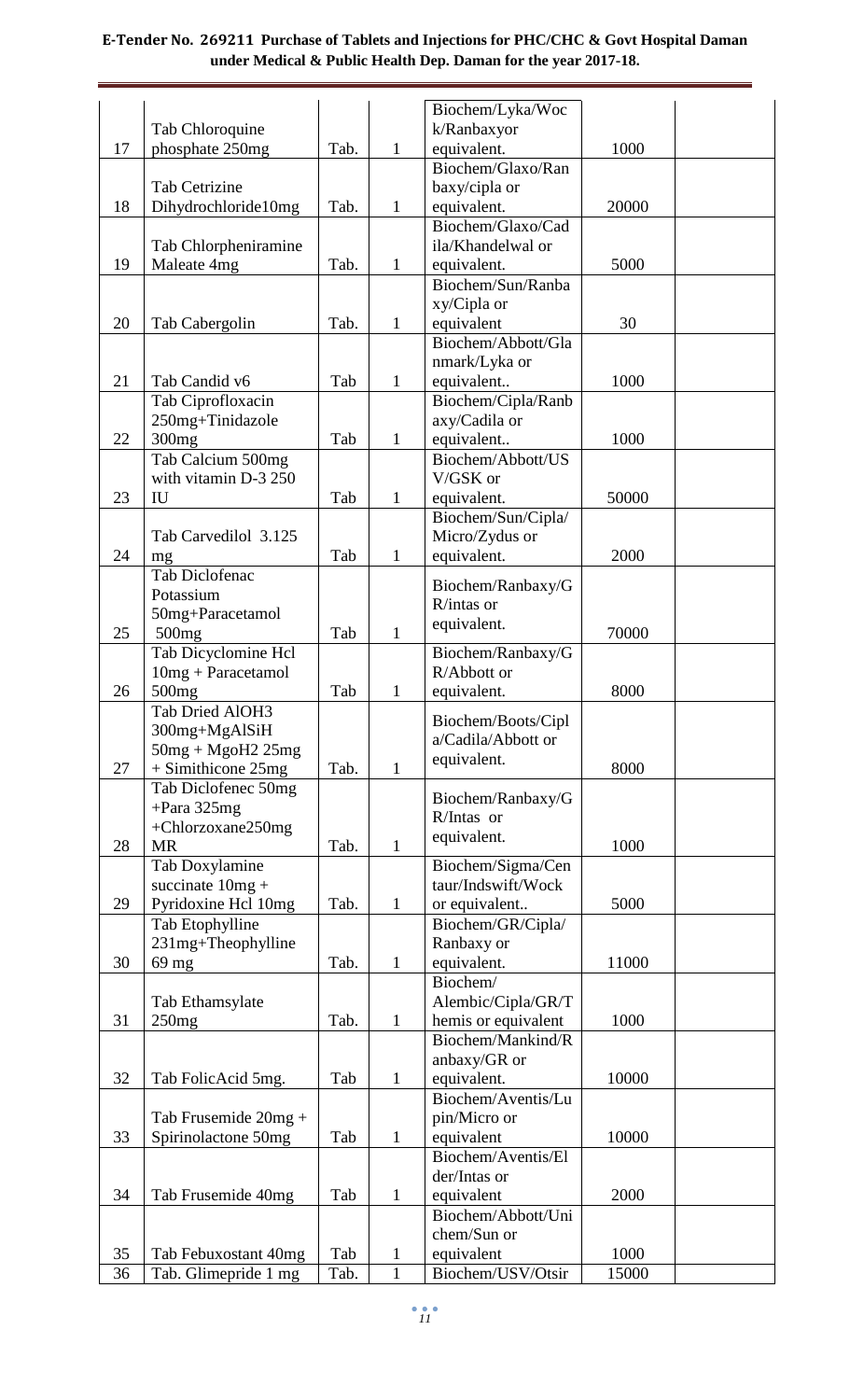|    |                               |      |              | Biochem/Lyka/Woc                          |       |  |
|----|-------------------------------|------|--------------|-------------------------------------------|-------|--|
|    | Tab Chloroquine               |      |              | k/Ranbaxyor                               |       |  |
| 17 | phosphate 250mg               | Tab. | $\mathbf{1}$ | equivalent.                               | 1000  |  |
|    |                               |      |              | Biochem/Glaxo/Ran                         |       |  |
|    | Tab Cetrizine                 |      |              | baxy/cipla or                             |       |  |
| 18 | Dihydrochloride10mg           | Tab. | 1            | equivalent.                               | 20000 |  |
|    |                               |      |              | Biochem/Glaxo/Cad                         |       |  |
|    | Tab Chlorpheniramine          |      |              | ila/Khandelwal or                         |       |  |
| 19 | Maleate 4mg                   | Tab. | 1            | equivalent.                               | 5000  |  |
|    |                               |      |              | Biochem/Sun/Ranba                         |       |  |
| 20 |                               | Tab. |              | xy/Cipla or                               | 30    |  |
|    | Tab Cabergolin                |      | 1            | equivalent<br>Biochem/Abbott/Gla          |       |  |
|    |                               |      |              | nmark/Lyka or                             |       |  |
| 21 | Tab Candid v6                 | Tab  | 1            | equivalent                                | 1000  |  |
|    | Tab Ciprofloxacin             |      |              | Biochem/Cipla/Ranb                        |       |  |
|    | 250mg+Tinidazole              |      |              | axy/Cadila or                             |       |  |
| 22 | 300mg                         | Tab  | 1            | equivalent                                | 1000  |  |
|    | Tab Calcium 500mg             |      |              | Biochem/Abbott/US                         |       |  |
|    | with vitamin D-3 250          |      |              | V/GSK or                                  |       |  |
| 23 | <b>IU</b>                     | Tab  | $\mathbf{1}$ | equivalent.                               | 50000 |  |
|    |                               |      |              | Biochem/Sun/Cipla/                        |       |  |
|    | Tab Carvedilol 3.125          |      |              | Micro/Zydus or                            |       |  |
| 24 | mg                            | Tab  | 1            | equivalent.                               | 2000  |  |
|    | Tab Diclofenac                |      |              | Biochem/Ranbaxy/G                         |       |  |
|    | Potassium                     |      |              | R/intas or                                |       |  |
|    | 50mg+Paracetamol              |      |              | equivalent.                               |       |  |
| 25 | 500 <sub>mg</sub>             | Tab  | $\mathbf{1}$ |                                           | 70000 |  |
|    | Tab Dicyclomine Hcl           |      |              | Biochem/Ranbaxy/G<br>R/Abbott or          |       |  |
| 26 | $10mg + Paracetamol$<br>500mg | Tab  | 1            | equivalent.                               | 8000  |  |
|    | Tab Dried AlOH3               |      |              |                                           |       |  |
|    | 300mg+MgAlSiH                 |      |              | Biochem/Boots/Cipl                        |       |  |
|    | $50mg + MgoH2$ $25mg$         |      |              | a/Cadila/Abbott or                        |       |  |
| 27 | + Simithicone 25mg            | Tab. | $\mathbf{1}$ | equivalent.                               | 8000  |  |
|    | Tab Diclofenec 50mg           |      |              |                                           |       |  |
|    | $+$ Para 325mg                |      |              | Biochem/Ranbaxy/G<br>R/Intas or           |       |  |
|    | +Chlorzoxane250mg             |      |              |                                           |       |  |
| 28 | <b>MR</b>                     | Tab. | $\mathbf{1}$ | equivalent.                               | 1000  |  |
|    | Tab Doxylamine                |      |              | Biochem/Sigma/Cen                         |       |  |
|    | succinate $10mg +$            |      |              | taur/Indswift/Wock                        |       |  |
| 29 | Pyridoxine Hcl 10mg           | Tab. | $\mathbf{1}$ | or equivalent                             | 5000  |  |
|    | Tab Etophylline               |      |              | Biochem/GR/Cipla/                         |       |  |
|    | 231mg+Theophylline            |      |              | Ranbaxy or                                |       |  |
| 30 | 69 mg                         | Tab. | $\mathbf{1}$ | equivalent.                               | 11000 |  |
|    |                               |      |              | Biochem/                                  |       |  |
| 31 | Tab Ethamsylate<br>250mg      | Tab. | $\mathbf{1}$ | Alembic/Cipla/GR/T<br>hemis or equivalent | 1000  |  |
|    |                               |      |              | Biochem/Mankind/R                         |       |  |
|    |                               |      |              | anbaxy/GR or                              |       |  |
| 32 | Tab FolicAcid 5mg.            | Tab  | $\mathbf{1}$ | equivalent.                               | 10000 |  |
|    |                               |      |              | Biochem/Aventis/Lu                        |       |  |
|    | Tab Frusemide $20mg +$        |      |              | pin/Micro or                              |       |  |
| 33 | Spirinolactone 50mg           | Tab  | $\mathbf{1}$ | equivalent                                | 10000 |  |
|    |                               |      |              | Biochem/Aventis/El                        |       |  |
|    |                               |      |              | der/Intas or                              |       |  |
| 34 | Tab Frusemide 40mg            | Tab  | $\mathbf{1}$ | equivalent                                | 2000  |  |
|    |                               |      |              | Biochem/Abbott/Uni                        |       |  |
|    |                               |      |              | chem/Sun or                               |       |  |
| 35 | Tab Febuxostant 40mg          | Tab  | $\mathbf{1}$ | equivalent                                | 1000  |  |
| 36 | Tab. Glimepride 1 mg          | Tab. | $\mathbf{1}$ | Biochem/USV/Otsir                         | 15000 |  |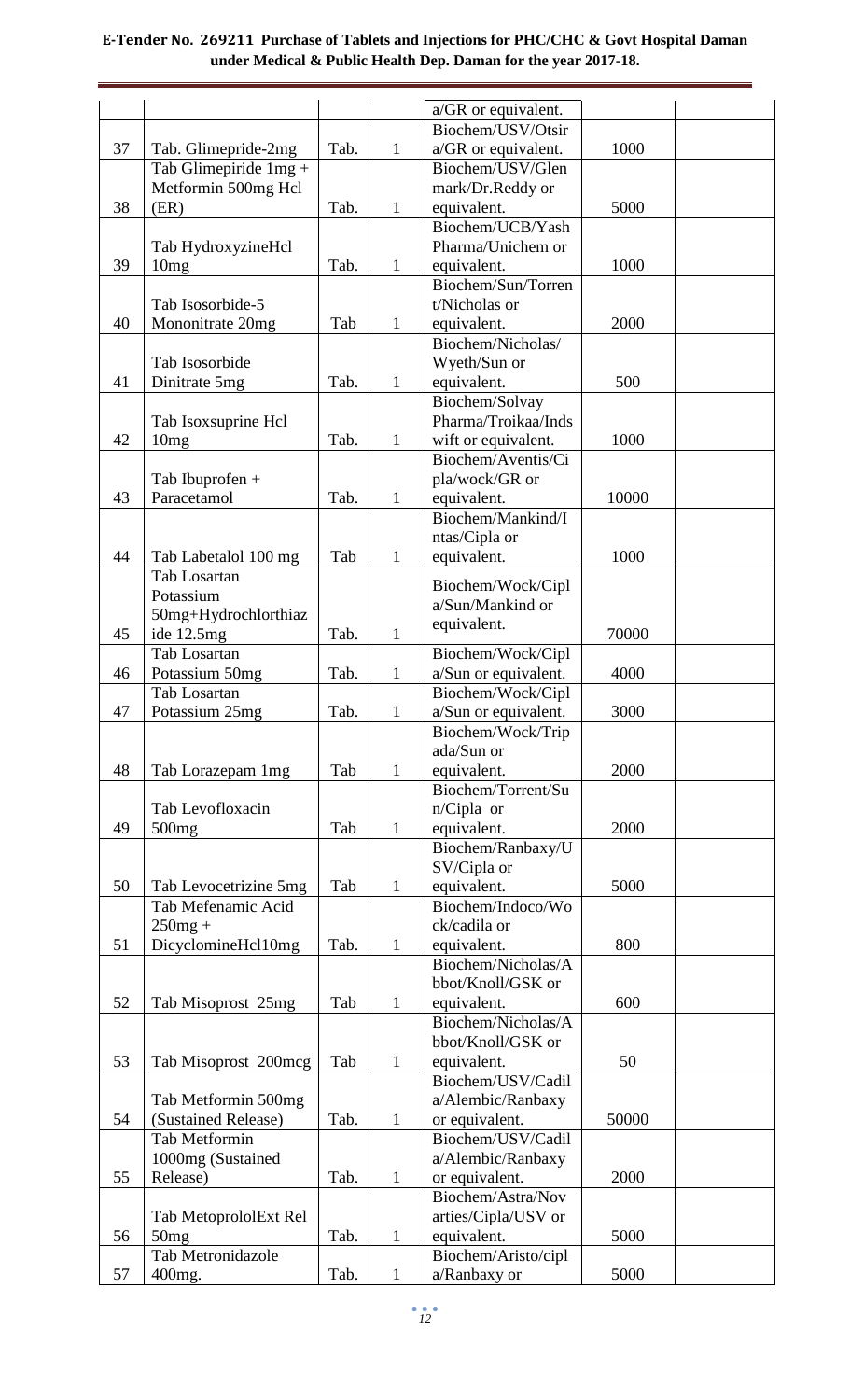|    |                                             |      |              | a/GR or equivalent.                 |       |  |
|----|---------------------------------------------|------|--------------|-------------------------------------|-------|--|
|    |                                             |      |              | Biochem/USV/Otsir                   |       |  |
| 37 | Tab. Glimepride-2mg                         | Tab. | $\mathbf{1}$ | a/GR or equivalent.                 | 1000  |  |
|    | Tab Glimepiride $1mg +$                     |      |              | Biochem/USV/Glen                    |       |  |
|    | Metformin 500mg Hcl                         |      |              | mark/Dr.Reddy or                    |       |  |
| 38 | (ER)                                        | Tab. | 1            | equivalent.                         | 5000  |  |
|    |                                             |      |              | Biochem/UCB/Yash                    |       |  |
|    | Tab HydroxyzineHcl                          |      |              | Pharma/Unichem or                   |       |  |
| 39 | 10mg                                        | Tab. | 1            | equivalent.                         | 1000  |  |
|    |                                             |      |              | Biochem/Sun/Torren                  |       |  |
|    | Tab Isosorbide-5                            |      |              | t/Nicholas or                       |       |  |
| 40 | Mononitrate 20mg                            | Tab  | 1            | equivalent.                         | 2000  |  |
|    |                                             |      |              | Biochem/Nicholas/                   |       |  |
|    | Tab Isosorbide                              |      |              | Wyeth/Sun or                        |       |  |
| 41 | Dinitrate 5mg                               | Tab. | 1            | equivalent.<br>Biochem/Solvay       | 500   |  |
|    | Tab Isoxsuprine Hcl                         |      |              | Pharma/Troikaa/Inds                 |       |  |
| 42 | 10mg                                        | Tab. | 1            | wift or equivalent.                 | 1000  |  |
|    |                                             |      |              | Biochem/Aventis/Ci                  |       |  |
|    | Tab Ibuprofen +                             |      |              | pla/wock/GR or                      |       |  |
| 43 | Paracetamol                                 | Tab. | 1            | equivalent.                         | 10000 |  |
|    |                                             |      |              | Biochem/Mankind/I                   |       |  |
|    |                                             |      |              | ntas/Cipla or                       |       |  |
| 44 | Tab Labetalol 100 mg                        | Tab  | 1            | equivalent.                         | 1000  |  |
|    | Tab Losartan                                |      |              |                                     |       |  |
|    | Potassium                                   |      |              | Biochem/Wock/Cipl                   |       |  |
|    | 50mg+Hydrochlorthiaz                        |      |              | a/Sun/Mankind or                    |       |  |
| 45 | ide 12.5mg                                  | Tab. | $\mathbf{1}$ | equivalent.                         | 70000 |  |
|    | Tab Losartan                                |      |              | Biochem/Wock/Cipl                   |       |  |
| 46 | Potassium 50mg                              | Tab. | $\mathbf{1}$ | a/Sun or equivalent.                | 4000  |  |
|    | Tab Losartan                                |      |              | Biochem/Wock/Cipl                   |       |  |
| 47 | Potassium 25mg                              | Tab. | $\mathbf{1}$ | a/Sun or equivalent.                | 3000  |  |
|    |                                             |      |              | Biochem/Wock/Trip                   |       |  |
|    |                                             |      |              | ada/Sun or                          |       |  |
| 48 | Tab Lorazepam 1mg                           | Tab  | $\mathbf{1}$ | equivalent.                         | 2000  |  |
|    |                                             |      |              | Biochem/Torrent/Su                  |       |  |
|    | Tab Levofloxacin                            |      |              | n/Cipla or                          |       |  |
| 49 | 500 <sub>mg</sub>                           | Tab  | $\mathbf{1}$ | equivalent.                         | 2000  |  |
|    |                                             |      |              | Biochem/Ranbaxy/U                   |       |  |
| 50 |                                             | Tab  | $\mathbf{1}$ | SV/Cipla or<br>equivalent.          | 5000  |  |
|    | Tab Levocetrizine 5mg<br>Tab Mefenamic Acid |      |              | Biochem/Indoco/Wo                   |       |  |
|    | $250mg +$                                   |      |              | ck/cadila or                        |       |  |
| 51 | DicyclomineHcl10mg                          | Tab. | 1            | equivalent.                         | 800   |  |
|    |                                             |      |              | Biochem/Nicholas/A                  |       |  |
|    |                                             |      |              | bbot/Knoll/GSK or                   |       |  |
| 52 | Tab Misoprost 25mg                          | Tab  | $\mathbf{1}$ | equivalent.                         | 600   |  |
|    |                                             |      |              | Biochem/Nicholas/A                  |       |  |
|    |                                             |      |              | bbot/Knoll/GSK or                   |       |  |
| 53 | Tab Misoprost 200mcg                        | Tab  | $\mathbf{1}$ | equivalent.                         | 50    |  |
|    |                                             |      |              | Biochem/USV/Cadil                   |       |  |
|    | Tab Metformin 500mg                         |      |              | a/Alembic/Ranbaxy                   |       |  |
| 54 | (Sustained Release)                         | Tab. | $\mathbf{1}$ | or equivalent.                      | 50000 |  |
|    | <b>Tab Metformin</b>                        |      |              | Biochem/USV/Cadil                   |       |  |
|    | 1000mg (Sustained                           |      |              | a/Alembic/Ranbaxy                   |       |  |
| 55 | Release)                                    | Tab. | $\mathbf{1}$ | or equivalent.                      | 2000  |  |
|    |                                             |      |              | Biochem/Astra/Nov                   |       |  |
|    | Tab MetoprololExt Rel                       |      |              | arties/Cipla/USV or                 |       |  |
| 56 | 50mg<br>Tab Metronidazole                   | Tab. | $\mathbf{1}$ | equivalent.                         | 5000  |  |
| 57 |                                             | Tab. | $\mathbf{1}$ | Biochem/Aristo/cipl<br>a/Ranbaxy or | 5000  |  |
|    | 400mg.                                      |      |              |                                     |       |  |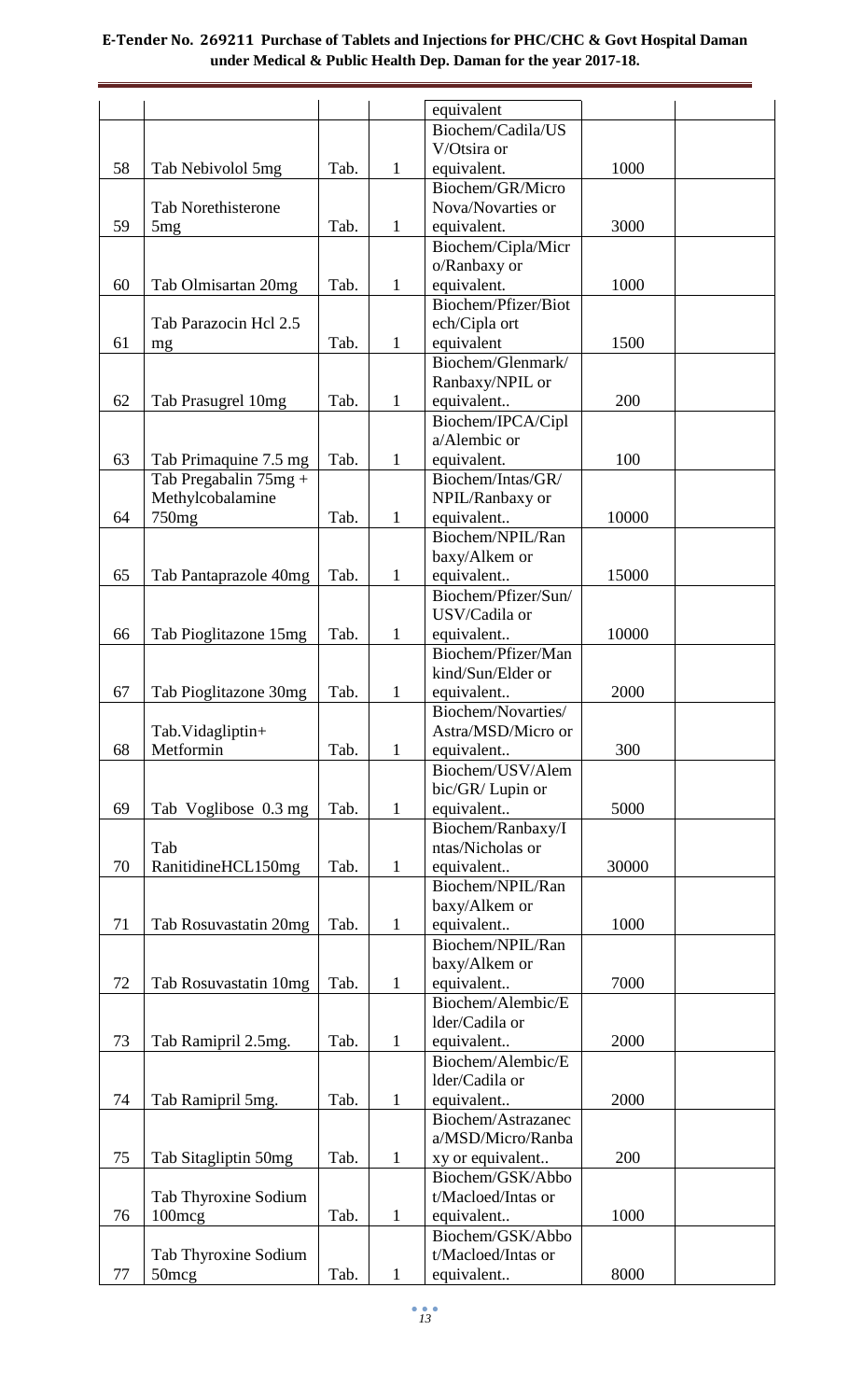|    |                           |      |              | equivalent                      |       |  |
|----|---------------------------|------|--------------|---------------------------------|-------|--|
|    |                           |      |              | Biochem/Cadila/US               |       |  |
|    |                           |      |              | V/Otsira or                     |       |  |
| 58 | Tab Nebivolol 5mg         | Tab. | $\mathbf{1}$ | equivalent.                     | 1000  |  |
|    |                           |      |              | Biochem/GR/Micro                |       |  |
|    | <b>Tab Norethisterone</b> |      |              | Nova/Novarties or               |       |  |
| 59 | 5mg                       | Tab. | $\mathbf{1}$ | equivalent.                     | 3000  |  |
|    |                           |      |              | Biochem/Cipla/Micr              |       |  |
|    |                           |      |              | o/Ranbaxy or                    |       |  |
| 60 | Tab Olmisartan 20mg       | Tab. | $\mathbf{1}$ | equivalent.                     | 1000  |  |
|    |                           |      |              | Biochem/Pfizer/Biot             |       |  |
|    | Tab Parazocin Hcl 2.5     |      |              | ech/Cipla ort                   |       |  |
| 61 | mg                        | Tab. | $\mathbf{1}$ | equivalent                      | 1500  |  |
|    |                           |      |              | Biochem/Glenmark/               |       |  |
| 62 | Tab Prasugrel 10mg        | Tab. | $\mathbf{1}$ | Ranbaxy/NPIL or                 | 200   |  |
|    |                           |      |              | equivalent<br>Biochem/IPCA/Cipl |       |  |
|    |                           |      |              | a/Alembic or                    |       |  |
| 63 | Tab Primaquine 7.5 mg     | Tab. | $\mathbf{1}$ | equivalent.                     | 100   |  |
|    | Tab Pregabalin 75mg +     |      |              | Biochem/Intas/GR/               |       |  |
|    | Methylcobalamine          |      |              | NPIL/Ranbaxy or                 |       |  |
| 64 | 750mg                     | Tab. | $\mathbf{1}$ | equivalent                      | 10000 |  |
|    |                           |      |              | Biochem/NPIL/Ran                |       |  |
|    |                           |      |              | baxy/Alkem or                   |       |  |
| 65 | Tab Pantaprazole 40mg     | Tab. | $\mathbf{1}$ | equivalent                      | 15000 |  |
|    |                           |      |              | Biochem/Pfizer/Sun/             |       |  |
|    |                           |      |              | USV/Cadila or                   |       |  |
| 66 | Tab Pioglitazone 15mg     | Tab. | $\mathbf{1}$ | equivalent                      | 10000 |  |
|    |                           |      |              | Biochem/Pfizer/Man              |       |  |
|    |                           |      |              | kind/Sun/Elder or               |       |  |
| 67 | Tab Pioglitazone 30mg     | Tab. | $\mathbf{1}$ | equivalent                      | 2000  |  |
|    |                           |      |              | Biochem/Novarties/              |       |  |
| 68 | Tab.Vidagliptin+          |      |              | Astra/MSD/Micro or              | 300   |  |
|    | Metformin                 | Tab. | $\mathbf{1}$ | equivalent<br>Biochem/USV/Alem  |       |  |
|    |                           |      |              | bic/GR/ Lupin or                |       |  |
| 69 | Tab Voglibose 0.3 mg      | Tab. | $\mathbf{1}$ | equivalent                      | 5000  |  |
|    |                           |      |              | Biochem/Ranbaxy/I               |       |  |
|    | Tab                       |      |              | ntas/Nicholas or                |       |  |
| 70 | RanitidineHCL150mg        | Tab. | $\mathbf{1}$ | equivalent                      | 30000 |  |
|    |                           |      |              | Biochem/NPIL/Ran                |       |  |
|    |                           |      |              | baxy/Alkem or                   |       |  |
| 71 | Tab Rosuvastatin 20mg     | Tab. | $\mathbf{1}$ | equivalent                      | 1000  |  |
|    |                           |      |              | Biochem/NPIL/Ran                |       |  |
|    |                           |      |              | baxy/Alkem or                   |       |  |
| 72 | Tab Rosuvastatin 10mg     | Tab. | $\mathbf{1}$ | equivalent                      | 7000  |  |
|    |                           |      |              | Biochem/Alembic/E               |       |  |
|    |                           |      |              | lder/Cadila or                  |       |  |
| 73 | Tab Ramipril 2.5mg.       | Tab. | $\mathbf{1}$ | equivalent                      | 2000  |  |
|    |                           |      |              | Biochem/Alembic/E               |       |  |
| 74 | Tab Ramipril 5mg.         | Tab. | $\mathbf{1}$ | lder/Cadila or<br>equivalent    | 2000  |  |
|    |                           |      |              | Biochem/Astrazanec              |       |  |
|    |                           |      |              | a/MSD/Micro/Ranba               |       |  |
| 75 | Tab Sitagliptin 50mg      | Tab. | $\mathbf{1}$ | xy or equivalent                | 200   |  |
|    |                           |      |              | Biochem/GSK/Abbo                |       |  |
|    | Tab Thyroxine Sodium      |      |              | t/Macloed/Intas or              |       |  |
| 76 | 100mcg                    | Tab. | $\mathbf{1}$ | equivalent                      | 1000  |  |
|    |                           |      |              | Biochem/GSK/Abbo                |       |  |
|    | Tab Thyroxine Sodium      |      |              | t/Macloed/Intas or              |       |  |
| 77 | 50 <sub>mcg</sub>         | Tab. | $\mathbf{1}$ | equivalent                      | 8000  |  |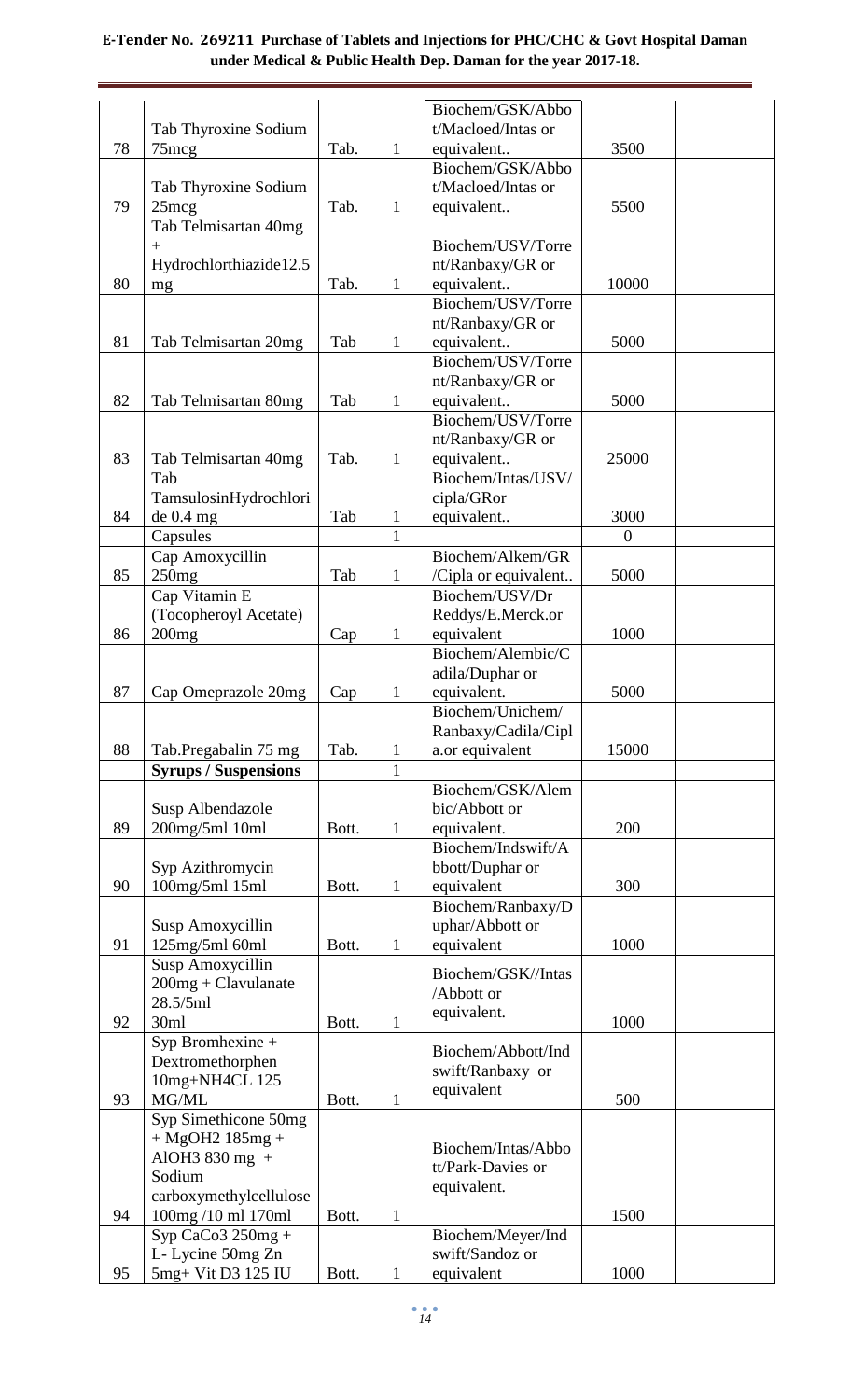|    |                                   |       |              | Biochem/GSK/Abbo                        |                |  |
|----|-----------------------------------|-------|--------------|-----------------------------------------|----------------|--|
|    | Tab Thyroxine Sodium              |       |              | t/Macloed/Intas or                      |                |  |
| 78 | $75 \text{mcg}$                   | Tab.  | $\mathbf{1}$ | equivalent                              | 3500           |  |
|    |                                   |       |              | Biochem/GSK/Abbo                        |                |  |
|    | Tab Thyroxine Sodium              |       |              | t/Macloed/Intas or                      |                |  |
| 79 | $25 \text{mcg}$                   | Tab.  | 1            | equivalent                              | 5500           |  |
|    | Tab Telmisartan 40mg              |       |              |                                         |                |  |
|    | $\ddot{}$                         |       |              | Biochem/USV/Torre                       |                |  |
| 80 | Hydrochlorthiazide12.5            |       |              | nt/Ranbaxy/GR or                        | 10000          |  |
|    | mg                                | Tab.  | $\mathbf{1}$ | equivalent<br>Biochem/USV/Torre         |                |  |
|    |                                   |       |              | nt/Ranbaxy/GR or                        |                |  |
| 81 | Tab Telmisartan 20mg              | Tab   | $\mathbf{1}$ | equivalent                              | 5000           |  |
|    |                                   |       |              | Biochem/USV/Torre                       |                |  |
|    |                                   |       |              | nt/Ranbaxy/GR or                        |                |  |
| 82 | Tab Telmisartan 80mg              | Tab   | $\mathbf{1}$ | equivalent                              | 5000           |  |
|    |                                   |       |              | Biochem/USV/Torre                       |                |  |
|    |                                   |       |              | nt/Ranbaxy/GR or                        |                |  |
| 83 | Tab Telmisartan 40mg              | Tab.  | $\mathbf{1}$ | equivalent                              | 25000          |  |
|    | Tab                               |       |              | Biochem/Intas/USV/                      |                |  |
|    | TamsulosinHydrochlori             |       |              | cipla/GRor                              |                |  |
| 84 | de 0.4 mg                         | Tab   | 1            | equivalent                              | 3000           |  |
|    | Capsules                          |       | $\mathbf{1}$ |                                         | $\overline{0}$ |  |
|    | Cap Amoxycillin                   |       |              | Biochem/Alkem/GR                        |                |  |
| 85 | 250mg                             | Tab   | $\mathbf{1}$ | /Cipla or equivalent                    | 5000           |  |
|    | Cap Vitamin E                     |       |              | Biochem/USV/Dr                          |                |  |
|    | (Tocopheroyl Acetate)             |       |              | Reddys/E.Merck.or                       |                |  |
| 86 | 200mg                             | Cap   | 1            | equivalent<br>Biochem/Alembic/C         | 1000           |  |
|    |                                   |       |              | adila/Duphar or                         |                |  |
| 87 | Cap Omeprazole 20mg               |       | 1            | equivalent.                             | 5000           |  |
|    |                                   | Cap   |              | Biochem/Unichem/                        |                |  |
|    |                                   |       |              | Ranbaxy/Cadila/Cipl                     |                |  |
| 88 | Tab.Pregabalin 75 mg              | Tab.  | 1            | a.or equivalent                         | 15000          |  |
|    | <b>Syrups / Suspensions</b>       |       | $\mathbf{1}$ |                                         |                |  |
|    |                                   |       |              | Biochem/GSK/Alem                        |                |  |
|    | Susp Albendazole                  |       |              | bic/Abbott or                           |                |  |
| 89 | 200mg/5ml 10ml                    | Bott. | $\mathbf{1}$ | equivalent.                             | 200            |  |
|    |                                   |       |              | Biochem/Indswift/A                      |                |  |
|    | Syp Azithromycin                  |       |              | bbott/Duphar or                         |                |  |
| 90 | 100mg/5ml 15ml                    | Bott. | $\mathbf{1}$ | equivalent                              | 300            |  |
|    |                                   |       |              | Biochem/Ranbaxy/D                       |                |  |
|    | Susp Amoxycillin                  |       |              | uphar/Abbott or                         |                |  |
| 91 | 125mg/5ml 60ml                    | Bott. | $\mathbf{1}$ | equivalent                              | 1000           |  |
|    | Susp Amoxycillin                  |       |              | Biochem/GSK//Intas                      |                |  |
|    | $200mg + Clavulanate$<br>28.5/5ml |       |              | /Abbott or                              |                |  |
| 92 | 30ml                              | Bott. | 1            | equivalent.                             | 1000           |  |
|    | Syp Bromhexine +                  |       |              |                                         |                |  |
|    | Dextromethorphen                  |       |              | Biochem/Abbott/Ind                      |                |  |
|    | 10mg+NH4CL 125                    |       |              | swift/Ranbaxy or                        |                |  |
| 93 | MG/ML                             | Bott. | 1            | equivalent                              | 500            |  |
|    | Syp Simethicone 50mg              |       |              |                                         |                |  |
|    | $+ MgOH2 185mg +$                 |       |              |                                         |                |  |
|    | AlOH3 830 mg +                    |       |              | Biochem/Intas/Abbo<br>tt/Park-Davies or |                |  |
|    | Sodium                            |       |              | equivalent.                             |                |  |
|    | carboxymethylcellulose            |       |              |                                         |                |  |
| 94 | 100mg/10 ml 170ml                 | Bott. | 1            |                                         | 1500           |  |
|    | $Syp$ CaCo3 250mg +               |       |              | Biochem/Meyer/Ind                       |                |  |
|    | L- Lycine 50mg Zn                 |       |              | swift/Sandoz or                         |                |  |
| 95 | 5mg+ Vit D3 125 IU                | Bott. | 1            | equivalent                              | 1000           |  |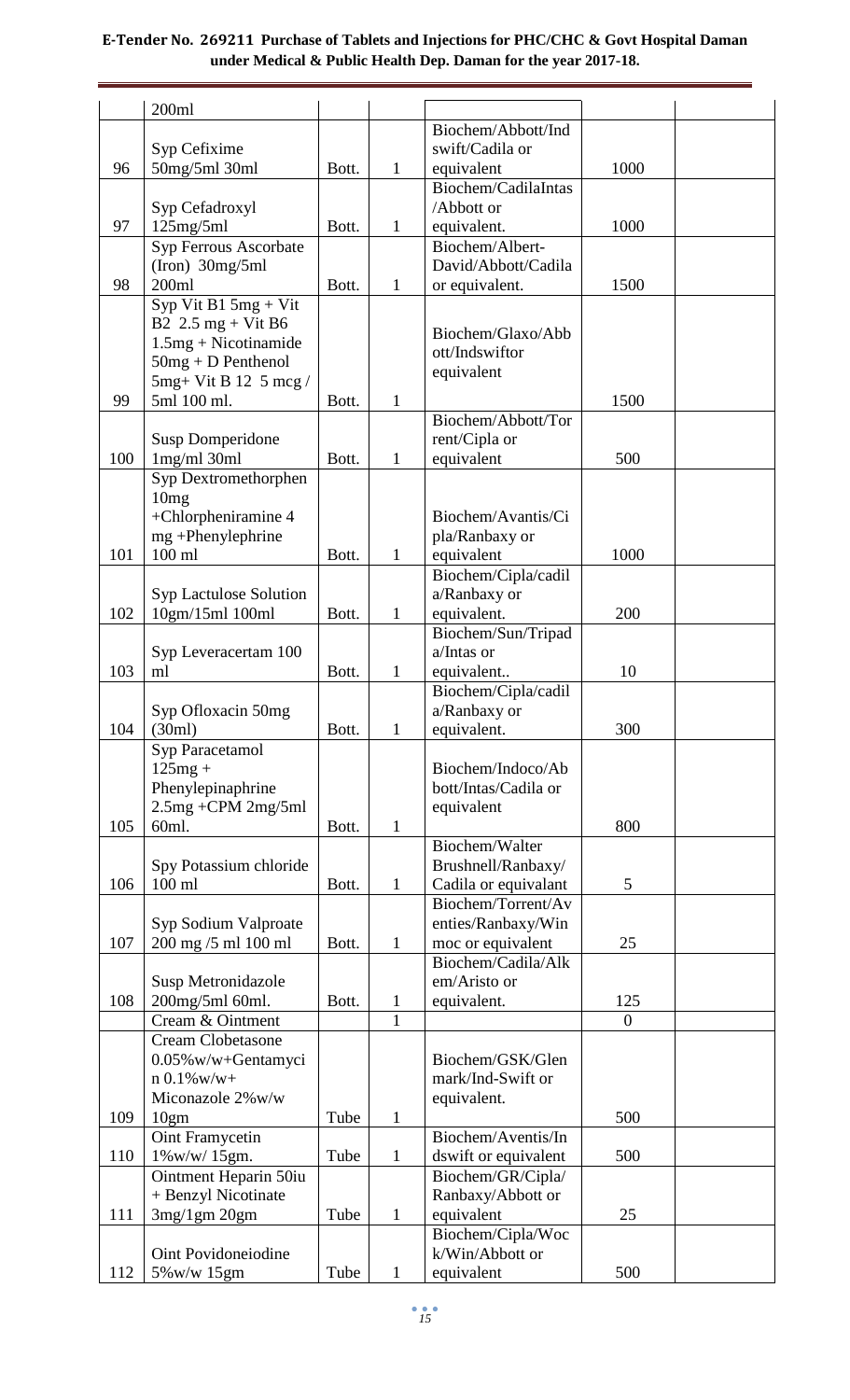|     | 200ml                                                          |       |              |                                     |                |  |
|-----|----------------------------------------------------------------|-------|--------------|-------------------------------------|----------------|--|
|     |                                                                |       |              | Biochem/Abbott/Ind                  |                |  |
|     | Syp Cefixime                                                   |       |              | swift/Cadila or                     |                |  |
| 96  | 50mg/5ml 30ml                                                  | Bott. | $\mathbf{1}$ | equivalent                          | 1000           |  |
|     |                                                                |       |              | Biochem/CadilaIntas                 |                |  |
|     | Syp Cefadroxyl                                                 |       |              | /Abbott or                          |                |  |
| 97  | 125mg/5ml                                                      | Bott. | 1            | equivalent.                         | 1000           |  |
|     | Syp Ferrous Ascorbate                                          |       |              | Biochem/Albert-                     |                |  |
|     | $(Iron)$ 30mg/5ml                                              |       |              | David/Abbott/Cadila                 |                |  |
| 98  | 200ml                                                          | Bott. | 1            | or equivalent.                      | 1500           |  |
|     | Syp Vit B1 $5mg + Vit$                                         |       |              |                                     |                |  |
|     | B2 $2.5 \text{ mg} + \text{Vit } B6$<br>$1.5mg + Nicotinamide$ |       |              | Biochem/Glaxo/Abb                   |                |  |
|     | $50mg + D$ Penthenol                                           |       |              | ott/Indswiftor                      |                |  |
|     | $5mg+V$ it B 12 5 mcg /                                        |       |              | equivalent                          |                |  |
| 99  | 5ml 100 ml.                                                    | Bott. | 1            |                                     | 1500           |  |
|     |                                                                |       |              | Biochem/Abbott/Tor                  |                |  |
|     | <b>Susp Domperidone</b>                                        |       |              | rent/Cipla or                       |                |  |
| 100 | $1mg/ml$ 30ml                                                  | Bott. | 1            | equivalent                          | 500            |  |
|     | Syp Dextromethorphen                                           |       |              |                                     |                |  |
|     | 10mg                                                           |       |              |                                     |                |  |
|     | +Chlorpheniramine 4                                            |       |              | Biochem/Avantis/Ci                  |                |  |
|     | mg +Phenylephrine                                              |       |              | pla/Ranbaxy or                      |                |  |
| 101 | $100$ ml                                                       | Bott. | $\mathbf{1}$ | equivalent                          | 1000           |  |
|     |                                                                |       |              | Biochem/Cipla/cadil                 |                |  |
|     | Syp Lactulose Solution                                         |       |              | a/Ranbaxy or                        |                |  |
| 102 | 10gm/15ml 100ml                                                | Bott. | 1            | equivalent.                         | 200            |  |
|     |                                                                |       |              | Biochem/Sun/Tripad                  |                |  |
|     | Syp Leveracertam 100                                           |       |              | a/Intas or                          |                |  |
| 103 | ml                                                             | Bott. | $\mathbf{1}$ | equivalent                          | 10             |  |
|     | Syp Ofloxacin 50mg                                             |       |              | Biochem/Cipla/cadil<br>a/Ranbaxy or |                |  |
| 104 | (30ml)                                                         | Bott. | 1            | equivalent.                         | 300            |  |
|     | Syp Paracetamol                                                |       |              |                                     |                |  |
|     | $125mg +$                                                      |       |              | Biochem/Indoco/Ab                   |                |  |
|     | Phenylepinaphrine                                              |       |              | bott/Intas/Cadila or                |                |  |
|     | 2.5mg +CPM 2mg/5ml                                             |       |              | equivalent                          |                |  |
| 105 | 60ml.                                                          | Bott. | $\mathbf{1}$ |                                     | 800            |  |
|     |                                                                |       |              | Biochem/Walter                      |                |  |
|     | Spy Potassium chloride                                         |       |              | Brushnell/Ranbaxy/                  |                |  |
| 106 | $100$ ml                                                       | Bott. | $\mathbf{1}$ | Cadila or equivalant                | 5              |  |
|     |                                                                |       |              | Biochem/Torrent/Av                  |                |  |
|     | Syp Sodium Valproate                                           |       |              | enties/Ranbaxy/Win                  |                |  |
| 107 | 200 mg /5 ml 100 ml                                            | Bott. | $\mathbf{1}$ | moc or equivalent                   | 25             |  |
|     |                                                                |       |              | Biochem/Cadila/Alk<br>em/Aristo or  |                |  |
| 108 | Susp Metronidazole<br>200mg/5ml 60ml.                          | Bott. | $\mathbf 1$  | equivalent.                         | 125            |  |
|     | Cream & Ointment                                               |       | $\mathbf{1}$ |                                     | $\overline{0}$ |  |
|     | <b>Cream Clobetasone</b>                                       |       |              |                                     |                |  |
|     | 0.05% w/w+Gentamyci                                            |       |              | Biochem/GSK/Glen                    |                |  |
|     | $n 0.1\%$ w/w+                                                 |       |              | mark/Ind-Swift or                   |                |  |
|     | Miconazole 2%w/w                                               |       |              | equivalent.                         |                |  |
| 109 | 10gm                                                           | Tube  | 1            |                                     | 500            |  |
|     | Oint Framycetin                                                |       |              | Biochem/Aventis/In                  |                |  |
| 110 | 1%w/w/15gm.                                                    | Tube  | $\mathbf{1}$ | dswift or equivalent                | 500            |  |
|     | Ointment Heparin 50iu                                          |       |              | Biochem/GR/Cipla/                   |                |  |
|     | + Benzyl Nicotinate                                            |       |              | Ranbaxy/Abbott or                   |                |  |
| 111 | $3mg/1gm$ $20gm$                                               | Tube  | $\mathbf{1}$ | equivalent                          | 25             |  |
|     |                                                                |       |              | Biochem/Cipla/Woc                   |                |  |
|     | Oint Povidoneiodine                                            |       |              | k/Win/Abbott or                     |                |  |
| 112 | 5%w/w 15gm                                                     | Tube  | $\mathbf{1}$ | equivalent                          | 500            |  |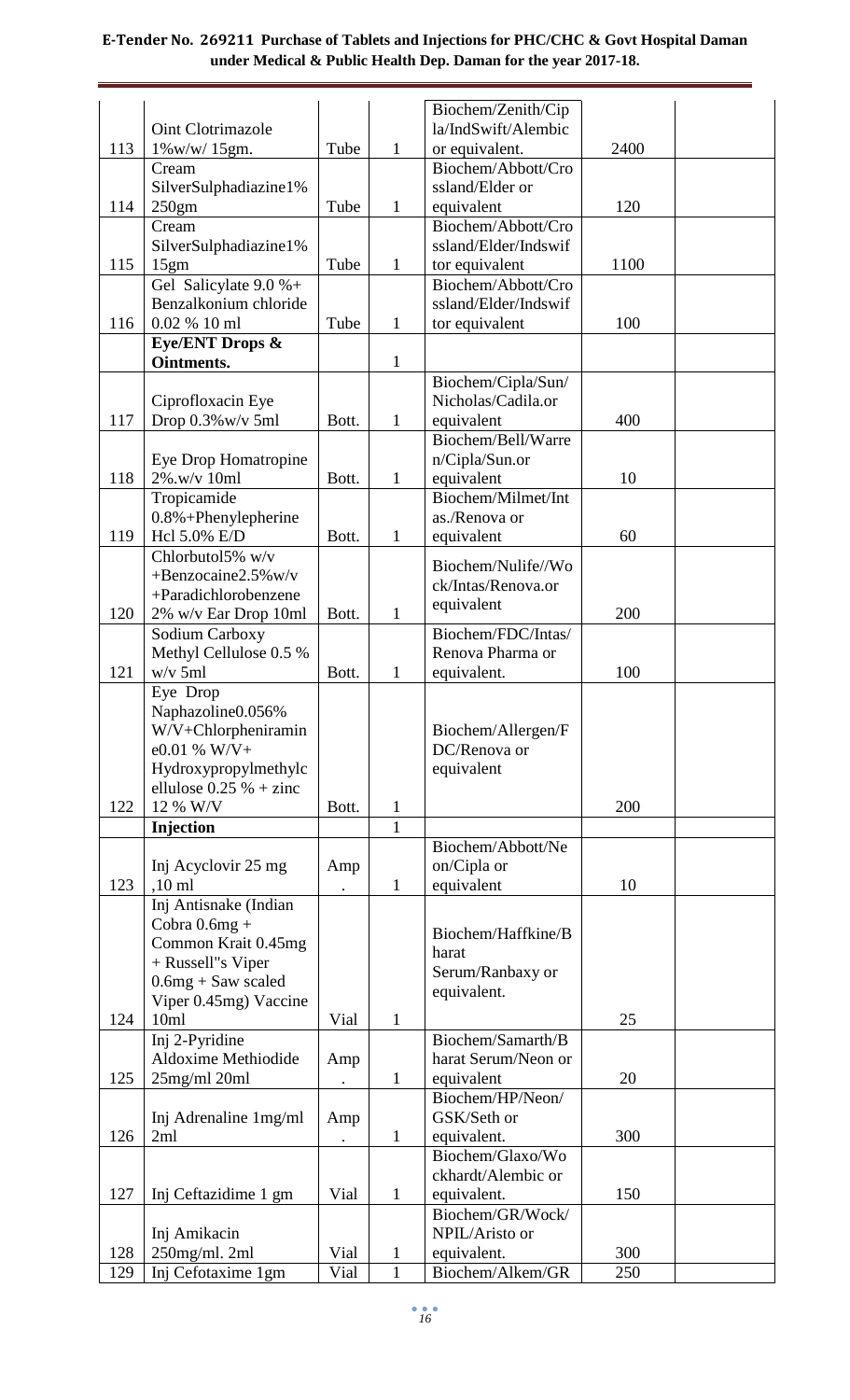|            |                                     |              |                              | Biochem/Zenith/Cip               |            |  |
|------------|-------------------------------------|--------------|------------------------------|----------------------------------|------------|--|
|            | Oint Clotrimazole                   |              |                              | la/IndSwift/Alembic              |            |  |
| 113        | $1\%$ w/w/ $15$ gm.                 | Tube         | $\mathbf{1}$                 | or equivalent.                   | 2400       |  |
|            | Cream                               |              |                              | Biochem/Abbott/Cro               |            |  |
|            | SilverSulphadiazine1%               |              |                              | ssland/Elder or                  |            |  |
| 114        | 250gm                               | Tube         | 1                            | equivalent                       | 120        |  |
|            | Cream                               |              |                              | Biochem/Abbott/Cro               |            |  |
|            | SilverSulphadiazine1%               |              |                              | ssland/Elder/Indswif             |            |  |
| 115        | 15gm                                | Tube         | 1                            | tor equivalent                   | 1100       |  |
|            | Gel Salicylate $9.0 %+$             |              |                              | Biochem/Abbott/Cro               |            |  |
|            | Benzalkonium chloride               |              |                              | ssland/Elder/Indswif             |            |  |
| 116        | 0.02 % 10 ml                        | Tube         | 1                            | tor equivalent                   | 100        |  |
|            | Eye/ENT Drops &                     |              |                              |                                  |            |  |
|            | Ointments.                          |              | $\mathbf{1}$                 |                                  |            |  |
|            |                                     |              |                              | Biochem/Cipla/Sun/               |            |  |
|            |                                     |              |                              | Nicholas/Cadila.or               |            |  |
| 117        | Ciprofloxacin Eye                   |              |                              |                                  | 400        |  |
|            | Drop 0.3% w/v 5ml                   | Bott.        | $\mathbf{1}$                 | equivalent                       |            |  |
|            |                                     |              |                              | Biochem/Bell/Warre               |            |  |
|            | Eye Drop Homatropine                |              |                              | n/Cipla/Sun.or                   |            |  |
| 118        | 2%.w/v 10ml                         | Bott.        | $\mathbf{1}$                 | equivalent<br>Biochem/Milmet/Int | 10         |  |
|            | Tropicamide                         |              |                              |                                  |            |  |
|            | $0.8\% +$ Phenylepherine            |              |                              | as./Renova or                    |            |  |
| 119        | Hcl 5.0% E/D                        | Bott.        | $\mathbf{1}$                 | equivalent                       | 60         |  |
|            | Chlorbutol5% w/v                    |              |                              | Biochem/Nulife//Wo               |            |  |
|            | $+$ Benzocaine2.5% w/v              |              |                              | ck/Intas/Renova.or               |            |  |
|            | +Paradichlorobenzene                |              |                              | equivalent                       |            |  |
| 120        | 2% w/v Ear Drop 10ml                | Bott.        | $\mathbf{1}$                 |                                  | 200        |  |
|            | Sodium Carboxy                      |              |                              | Biochem/FDC/Intas/               |            |  |
|            | Methyl Cellulose 0.5 %              |              |                              | Renova Pharma or                 |            |  |
| 121        | $w/v$ 5ml                           | Bott.        | 1                            | equivalent.                      | 100        |  |
|            | Eye Drop                            |              |                              |                                  |            |  |
|            | Naphazoline0.056%                   |              |                              |                                  |            |  |
|            | W/V+Chlorpheniramin                 |              |                              | Biochem/Allergen/F               |            |  |
|            | $e0.01\%$ W/V+                      |              |                              |                                  |            |  |
|            |                                     |              |                              | DC/Renova or                     |            |  |
|            | Hydroxypropylmethylc                |              |                              | equivalent                       |            |  |
|            | ellulose $0.25%$ + zinc             |              |                              |                                  |            |  |
| 122        | 12 % W/V                            | Bott.        | 1                            |                                  | 200        |  |
|            | Injection                           |              | $\mathbf{1}$                 |                                  |            |  |
|            |                                     |              |                              | Biochem/Abbott/Ne                |            |  |
|            | Inj Acyclovir 25 mg                 | Amp          |                              | on/Cipla or                      |            |  |
| 123        | $,10$ ml                            |              | $\mathbf{1}$                 | equivalent                       | 10         |  |
|            | Inj Antisnake (Indian               |              |                              |                                  |            |  |
|            | Cobra $0.6mg +$                     |              |                              |                                  |            |  |
|            | Common Krait 0.45mg                 |              |                              | Biochem/Haffkine/B               |            |  |
|            | + Russell"s Viper                   |              |                              | harat                            |            |  |
|            | $0.6mg + Saw$ scaled                |              |                              | Serum/Ranbaxy or                 |            |  |
|            | Viper 0.45mg) Vaccine               |              |                              | equivalent.                      |            |  |
| 124        | 10ml                                | Vial         | $\mathbf{1}$                 |                                  | 25         |  |
|            | Inj 2-Pyridine                      |              |                              | Biochem/Samarth/B                |            |  |
|            | Aldoxime Methiodide                 | Amp          |                              | harat Serum/Neon or              |            |  |
| 125        | $25$ mg/ml $20$ ml                  |              | $\mathbf{1}$                 | equivalent                       | 20         |  |
|            |                                     |              |                              | Biochem/HP/Neon/                 |            |  |
|            | Inj Adrenaline 1mg/ml               | Amp          |                              | GSK/Seth or                      |            |  |
| 126        | 2ml                                 |              | $\mathbf{1}$                 | equivalent.                      | 300        |  |
|            |                                     |              |                              | Biochem/Glaxo/Wo                 |            |  |
|            |                                     |              |                              | ckhardt/Alembic or               |            |  |
| 127        | Inj Ceftazidime 1 gm                | Vial         | $\mathbf{1}$                 | equivalent.                      | 150        |  |
|            |                                     |              |                              | Biochem/GR/Wock/                 |            |  |
|            | Inj Amikacin                        |              |                              | NPIL/Aristo or                   |            |  |
| 128<br>129 | 250mg/ml. 2ml<br>Inj Cefotaxime 1gm | Vial<br>Vial | $\mathbf{1}$<br>$\mathbf{1}$ | equivalent.<br>Biochem/Alkem/GR  | 300<br>250 |  |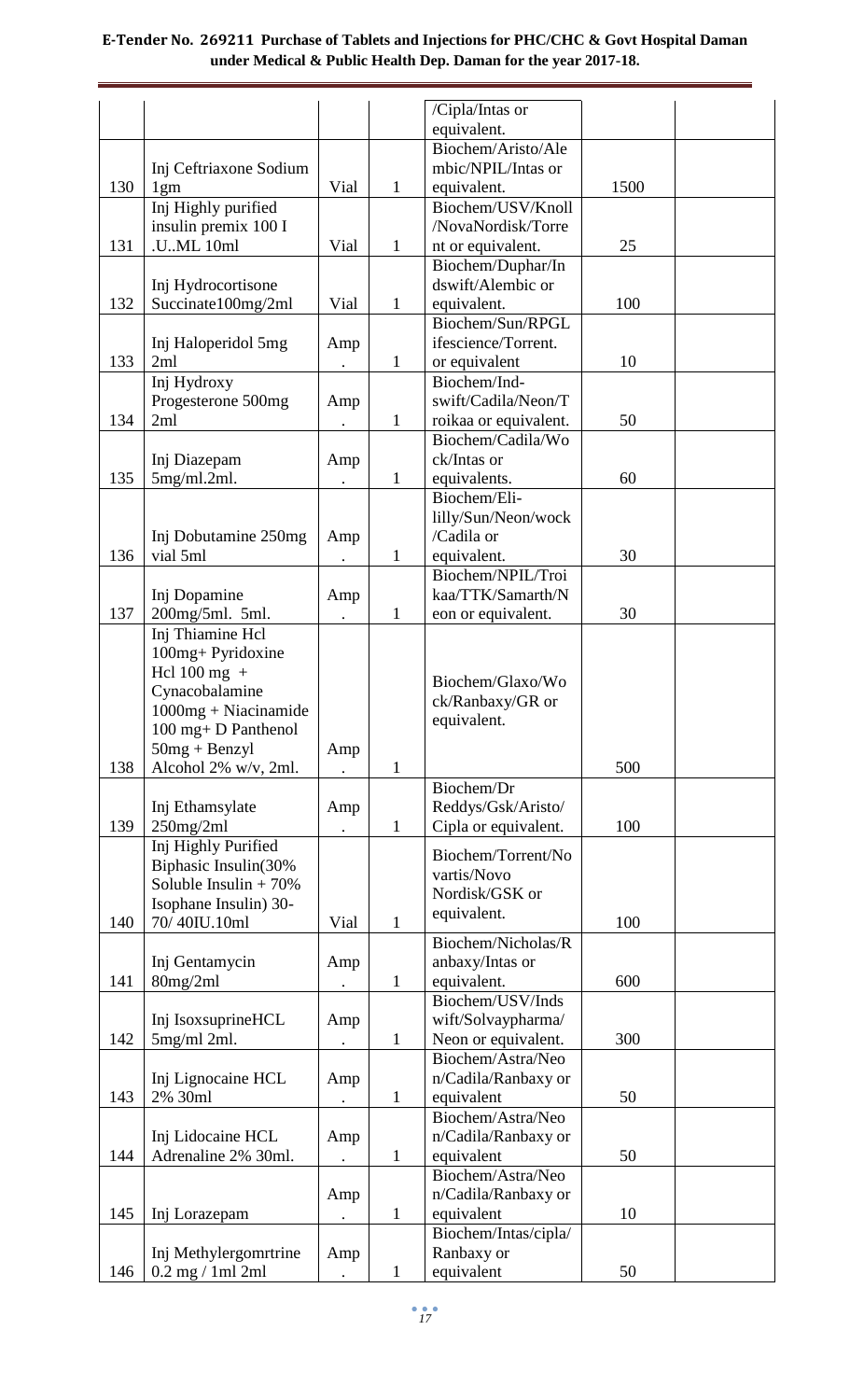|     |                          |      |              | /Cipla/Intas or       |      |  |
|-----|--------------------------|------|--------------|-----------------------|------|--|
|     |                          |      |              | equivalent.           |      |  |
|     |                          |      |              | Biochem/Aristo/Ale    |      |  |
|     | Inj Ceftriaxone Sodium   |      |              | mbic/NPIL/Intas or    |      |  |
| 130 | 1gm                      | Vial | $\mathbf{1}$ | equivalent.           | 1500 |  |
|     | Inj Highly purified      |      |              | Biochem/USV/Knoll     |      |  |
|     | insulin premix 100 I     |      |              | /NovaNordisk/Torre    |      |  |
| 131 | .UML 10ml                | Vial | $\mathbf{1}$ | nt or equivalent.     | 25   |  |
|     |                          |      |              | Biochem/Duphar/In     |      |  |
|     | Inj Hydrocortisone       |      |              | dswift/Alembic or     |      |  |
| 132 | Succinate100mg/2ml       | Vial | $\mathbf{1}$ | equivalent.           | 100  |  |
|     |                          |      |              | Biochem/Sun/RPGL      |      |  |
|     | Inj Haloperidol 5mg      | Amp  |              | ifescience/Torrent.   |      |  |
| 133 | 2ml                      |      | $\mathbf{1}$ | or equivalent         | 10   |  |
|     | Inj Hydroxy              |      |              | Biochem/Ind-          |      |  |
|     | Progesterone 500mg       | Amp  |              | swift/Cadila/Neon/T   |      |  |
| 134 | 2ml                      |      | $\mathbf{1}$ | roikaa or equivalent. | 50   |  |
|     |                          |      |              | Biochem/Cadila/Wo     |      |  |
|     | Inj Diazepam             | Amp  |              | ck/Intas or           |      |  |
| 135 | 5mg/ml.2ml.              |      | $\mathbf{1}$ | equivalents.          | 60   |  |
|     |                          |      |              | Biochem/Eli-          |      |  |
|     |                          |      |              | lilly/Sun/Neon/wock   |      |  |
|     | Inj Dobutamine 250mg     | Amp  |              | /Cadila or            |      |  |
| 136 | vial 5ml                 |      | $\mathbf{1}$ | equivalent.           | 30   |  |
|     |                          |      |              | Biochem/NPIL/Troi     |      |  |
|     | Inj Dopamine             | Amp  |              | kaa/TTK/Samarth/N     |      |  |
| 137 | 200mg/5ml. 5ml.          |      | 1            | eon or equivalent.    | 30   |  |
|     | Inj Thiamine Hcl         |      |              |                       |      |  |
|     | 100mg+ Pyridoxine        |      |              |                       |      |  |
|     | Hcl $100$ mg +           |      |              |                       |      |  |
|     | Cynacobalamine           |      |              | Biochem/Glaxo/Wo      |      |  |
|     | $1000mg + Niacinamide$   |      |              | ck/Ranbaxy/GR or      |      |  |
|     | 100 mg+ D Panthenol      |      |              | equivalent.           |      |  |
|     | $50mg + Benzyl$          | Amp  |              |                       |      |  |
| 138 | Alcohol 2% w/v, 2ml.     |      | 1            |                       | 500  |  |
|     |                          |      |              | Biochem/Dr            |      |  |
|     | Inj Ethamsylate          | Amp  |              | Reddys/Gsk/Aristo/    |      |  |
| 139 | $250$ mg/2ml             |      | $\mathbf{1}$ | Cipla or equivalent.  | 100  |  |
|     | Inj Highly Purified      |      |              |                       |      |  |
|     | Biphasic Insulin(30%     |      |              | Biochem/Torrent/No    |      |  |
|     | Soluble Insulin + $70\%$ |      |              | vartis/Novo           |      |  |
|     | Isophane Insulin) 30-    |      |              | Nordisk/GSK or        |      |  |
| 140 | 70/40IU.10ml             | Vial | 1            | equivalent.           | 100  |  |
|     |                          |      |              | Biochem/Nicholas/R    |      |  |
|     | Inj Gentamycin           | Amp  |              | anbaxy/Intas or       |      |  |
| 141 | 80mg/2ml                 |      | $\mathbf 1$  | equivalent.           | 600  |  |
|     |                          |      |              | Biochem/USV/Inds      |      |  |
|     | Inj IsoxsuprineHCL       | Amp  |              | wift/Solvaypharma/    |      |  |
| 142 | $5mg/ml$ 2ml.            |      | $\mathbf{1}$ | Neon or equivalent.   | 300  |  |
|     |                          |      |              | Biochem/Astra/Neo     |      |  |
|     | Inj Lignocaine HCL       | Amp  |              | n/Cadila/Ranbaxy or   |      |  |
| 143 | 2% 30ml                  |      | 1            | equivalent            | 50   |  |
|     |                          |      |              | Biochem/Astra/Neo     |      |  |
|     | Inj Lidocaine HCL        | Amp  |              | n/Cadila/Ranbaxy or   |      |  |
| 144 | Adrenaline 2% 30ml.      |      | $\mathbf{1}$ | equivalent            | 50   |  |
|     |                          |      |              | Biochem/Astra/Neo     |      |  |
|     |                          | Amp  |              | n/Cadila/Ranbaxy or   |      |  |
| 145 | Inj Lorazepam            |      | 1            | equivalent            | 10   |  |
|     |                          |      |              | Biochem/Intas/cipla/  |      |  |
|     | Inj Methylergomrtrine    | Amp  |              | Ranbaxy or            |      |  |
| 146 | $0.2$ mg $/ 1$ ml $2$ ml |      | 1            | equivalent            | 50   |  |
|     |                          |      |              |                       |      |  |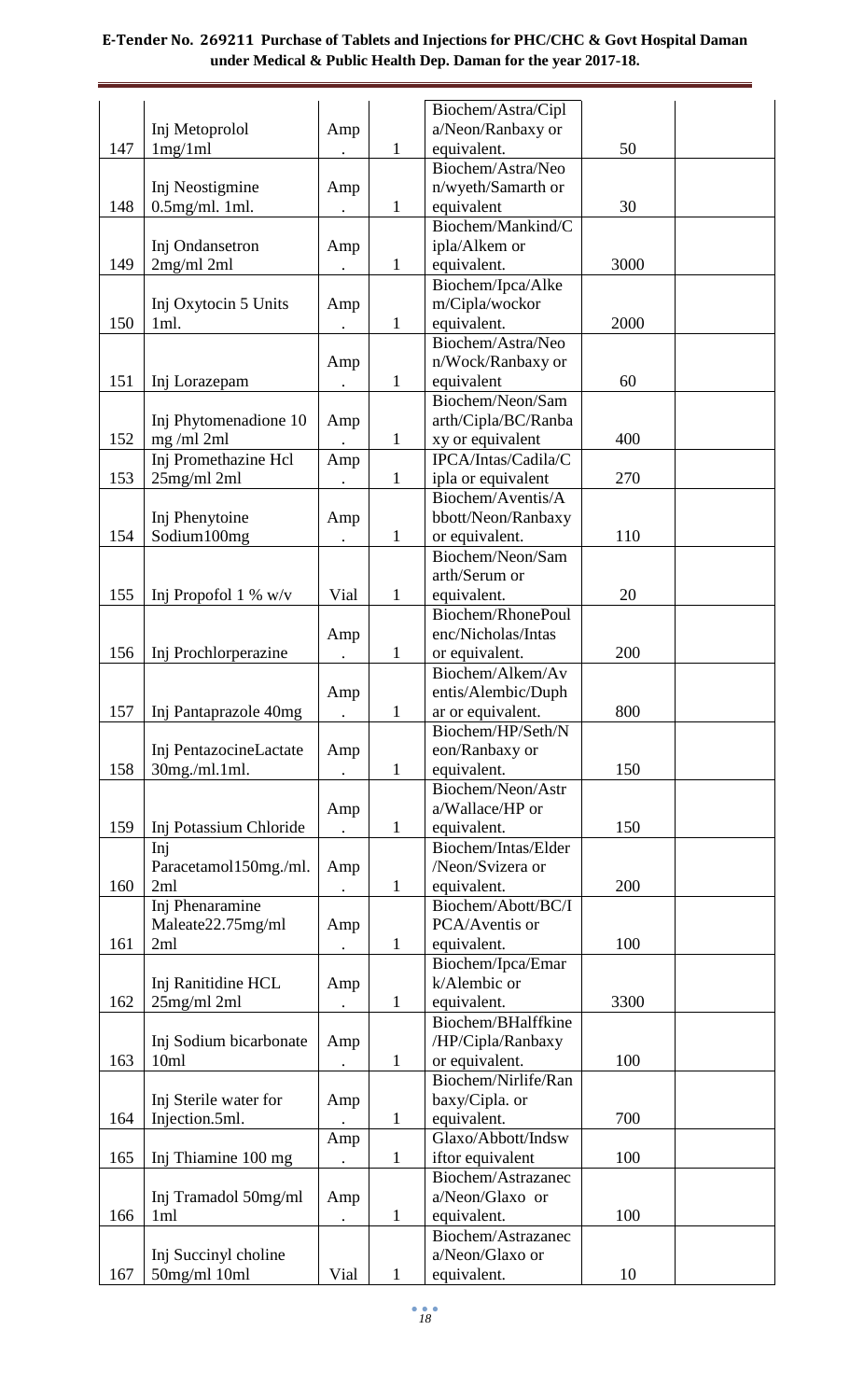|     |                        |           |              | Biochem/Astra/Cipl               |      |  |
|-----|------------------------|-----------|--------------|----------------------------------|------|--|
|     | Inj Metoprolol         | Amp       |              | a/Neon/Ranbaxy or                |      |  |
| 147 | 1mg/1ml                |           | $\mathbf{1}$ | equivalent.                      | 50   |  |
|     |                        |           |              | Biochem/Astra/Neo                |      |  |
|     | Inj Neostigmine        | Amp       |              | n/wyeth/Samarth or               |      |  |
| 148 | $0.5$ mg/ml. 1ml.      |           | $\mathbf{1}$ | equivalent                       | 30   |  |
|     |                        |           |              | Biochem/Mankind/C                |      |  |
|     | Inj Ondansetron        | Amp       |              | ipla/Alkem or                    |      |  |
| 149 | $2mg/ml$ $2ml$         |           | $\mathbf{1}$ | equivalent.                      | 3000 |  |
|     |                        |           |              | Biochem/Ipca/Alke                |      |  |
|     | Inj Oxytocin 5 Units   | Amp       |              | m/Cipla/wockor                   |      |  |
| 150 | 1ml.                   |           | $\mathbf{1}$ | equivalent.                      | 2000 |  |
|     |                        |           |              | Biochem/Astra/Neo                |      |  |
|     |                        | Amp       |              | n/Wock/Ranbaxy or                |      |  |
| 151 | Inj Lorazepam          |           | $\mathbf{1}$ | equivalent                       | 60   |  |
|     |                        |           |              | Biochem/Neon/Sam                 |      |  |
|     | Inj Phytomenadione 10  | Amp       |              | arth/Cipla/BC/Ranba              |      |  |
| 152 | $mg$ /ml 2ml           |           | $\mathbf{1}$ | xy or equivalent                 | 400  |  |
|     | Inj Promethazine Hcl   | Amp       |              | IPCA/Intas/Cadila/C              |      |  |
| 153 | $25$ mg/ml $2ml$       |           | $\mathbf{1}$ | ipla or equivalent               | 270  |  |
|     |                        |           |              | Biochem/Aventis/A                |      |  |
|     | Inj Phenytoine         | Amp       |              | bbott/Neon/Ranbaxy               |      |  |
| 154 | Sodium100mg            |           | $\mathbf{1}$ | or equivalent.                   | 110  |  |
|     |                        |           |              | Biochem/Neon/Sam                 |      |  |
|     |                        |           |              | arth/Serum or                    |      |  |
| 155 | Inj Propofol 1 % $w/v$ | Vial      | $\mathbf{1}$ | equivalent.                      | 20   |  |
|     |                        |           |              | Biochem/RhonePoul                |      |  |
|     |                        | Amp       |              | enc/Nicholas/Intas               |      |  |
| 156 | Inj Prochlorperazine   |           | 1            | or equivalent.                   | 200  |  |
|     |                        |           |              | Biochem/Alkem/Av                 |      |  |
|     |                        | Amp       |              | entis/Alembic/Duph               |      |  |
| 157 | Inj Pantaprazole 40mg  | $\bullet$ | $\mathbf{1}$ | ar or equivalent.                | 800  |  |
|     |                        |           |              | Biochem/HP/Seth/N                |      |  |
| 158 | Inj PentazocineLactate | Amp       |              | eon/Ranbaxy or                   | 150  |  |
|     | 30mg./ml.1ml.          |           | $\mathbf{1}$ | equivalent.<br>Biochem/Neon/Astr |      |  |
|     |                        |           |              | a/Wallace/HP or                  |      |  |
| 159 | Inj Potassium Chloride | Amp       | $\mathbf{1}$ | equivalent.                      | 150  |  |
|     | Inj                    |           |              | Biochem/Intas/Elder              |      |  |
|     | Paracetamol150mg./ml.  | Amp       |              | /Neon/Svizera or                 |      |  |
| 160 | 2ml                    |           | $\mathbf{1}$ | equivalent.                      | 200  |  |
|     | Inj Phenaramine        |           |              | Biochem/Abott/BC/I               |      |  |
|     | Maleate22.75mg/ml      | Amp       |              | PCA/Aventis or                   |      |  |
| 161 | 2ml                    |           | $\mathbf{1}$ | equivalent.                      | 100  |  |
|     |                        |           |              | Biochem/Ipca/Emar                |      |  |
|     | Inj Ranitidine HCL     | Amp       |              | k/Alembic or                     |      |  |
| 162 | 25mg/ml 2ml            |           | $\mathbf{1}$ | equivalent.                      | 3300 |  |
|     |                        |           |              | Biochem/BHalffkine               |      |  |
|     | Inj Sodium bicarbonate | Amp       |              | /HP/Cipla/Ranbaxy                |      |  |
| 163 | 10ml                   |           | $\mathbf{1}$ | or equivalent.                   | 100  |  |
|     |                        |           |              | Biochem/Nirlife/Ran              |      |  |
|     | Inj Sterile water for  | Amp       |              | baxy/Cipla. or                   |      |  |
| 164 | Injection.5ml.         |           | $\mathbf{1}$ | equivalent.                      | 700  |  |
|     |                        | Amp       |              | Glaxo/Abbott/Indsw               |      |  |
| 165 | Inj Thiamine 100 mg    |           | $\mathbf{1}$ | iftor equivalent                 | 100  |  |
|     |                        |           |              | Biochem/Astrazanec               |      |  |
|     | Inj Tramadol 50mg/ml   | Amp       |              | a/Neon/Glaxo or                  |      |  |
| 166 | 1ml                    |           | $\mathbf{1}$ | equivalent.                      | 100  |  |
|     |                        |           |              | Biochem/Astrazanec               |      |  |
|     | Inj Succinyl choline   |           |              | a/Neon/Glaxo or                  |      |  |
| 167 | 50mg/ml 10ml           | Vial      | $\mathbf 1$  | equivalent.                      | 10   |  |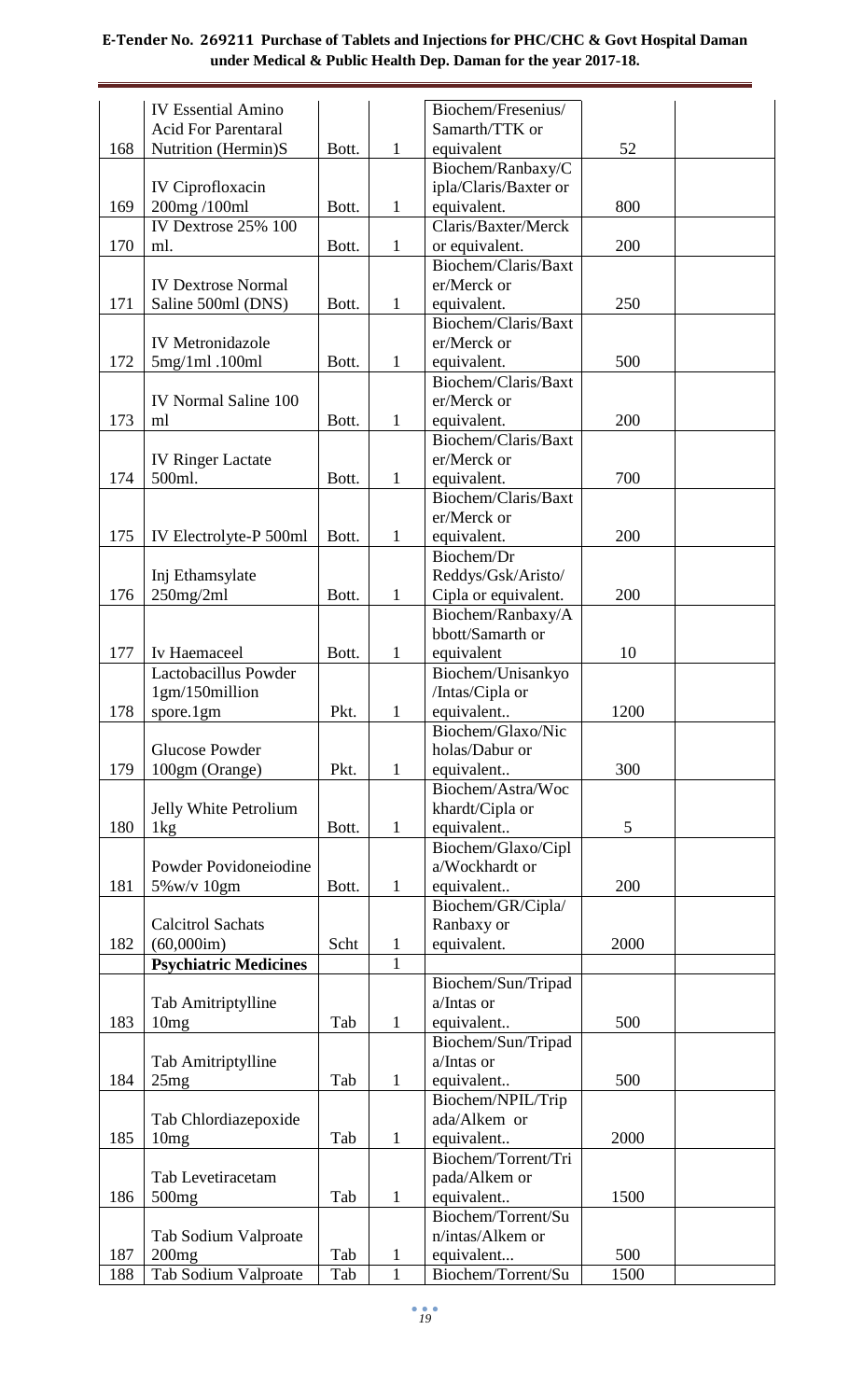|     | <b>IV Essential Amino</b>           |       |              | Biochem/Fresenius/    |      |  |
|-----|-------------------------------------|-------|--------------|-----------------------|------|--|
|     | <b>Acid For Parentaral</b>          |       |              | Samarth/TTK or        |      |  |
| 168 | Nutrition (Hermin)S                 | Bott. | $\mathbf{1}$ | equivalent            | 52   |  |
|     |                                     |       |              | Biochem/Ranbaxy/C     |      |  |
|     | <b>IV Ciprofloxacin</b>             |       |              | ipla/Claris/Baxter or |      |  |
| 169 | 200mg/100ml                         | Bott. | $\mathbf{1}$ | equivalent.           | 800  |  |
|     | IV Dextrose $25\%$ $\overline{100}$ |       |              | Claris/Baxter/Merck   |      |  |
| 170 | ml.                                 | Bott. | $\mathbf{1}$ | or equivalent.        | 200  |  |
|     |                                     |       |              | Biochem/Claris/Baxt   |      |  |
|     | <b>IV Dextrose Normal</b>           |       |              | er/Merck or           |      |  |
| 171 | Saline 500ml (DNS)                  | Bott. | 1            | equivalent.           | 250  |  |
|     |                                     |       |              | Biochem/Claris/Baxt   |      |  |
|     | <b>IV</b> Metronidazole             |       |              | er/Merck or           |      |  |
| 172 | $5mg/1ml$ . 100ml                   | Bott. | $\mathbf{1}$ | equivalent.           | 500  |  |
|     |                                     |       |              | Biochem/Claris/Baxt   |      |  |
|     | <b>IV Normal Saline 100</b>         |       |              | er/Merck or           |      |  |
| 173 | ml                                  | Bott. | $\mathbf{1}$ | equivalent.           | 200  |  |
|     |                                     |       |              | Biochem/Claris/Baxt   |      |  |
|     | <b>IV Ringer Lactate</b>            |       |              | er/Merck or           |      |  |
| 174 | 500ml.                              | Bott. | $\mathbf{1}$ | equivalent.           | 700  |  |
|     |                                     |       |              | Biochem/Claris/Baxt   |      |  |
|     |                                     |       |              | er/Merck or           |      |  |
| 175 | IV Electrolyte-P 500ml              | Bott. | $\mathbf{1}$ | equivalent.           | 200  |  |
|     |                                     |       |              | Biochem/Dr            |      |  |
|     | Inj Ethamsylate                     |       |              | Reddys/Gsk/Aristo/    |      |  |
| 176 | $250$ mg/2ml                        | Bott. | $\mathbf{1}$ | Cipla or equivalent.  | 200  |  |
|     |                                     |       |              | Biochem/Ranbaxy/A     |      |  |
|     |                                     |       |              | bbott/Samarth or      |      |  |
| 177 | Iv Haemaceel                        | Bott. | $\mathbf{1}$ | equivalent            | 10   |  |
|     | Lactobacillus Powder                |       |              | Biochem/Unisankyo     |      |  |
|     | 1gm/150million                      |       |              | /Intas/Cipla or       |      |  |
| 178 | spore.1gm                           | Pkt.  | $\mathbf{1}$ | equivalent            | 1200 |  |
|     |                                     |       |              | Biochem/Glaxo/Nic     |      |  |
|     | <b>Glucose Powder</b>               |       |              | holas/Dabur or        |      |  |
| 179 | 100gm (Orange)                      | Pkt.  | $\mathbf{1}$ | equivalent            | 300  |  |
|     |                                     |       |              | Biochem/Astra/Woc     |      |  |
|     | Jelly White Petrolium               |       |              | khardt/Cipla or       |      |  |
| 180 | 1 <sub>kg</sub>                     | Bott. | $\mathbf{1}$ | equivalent            | 5    |  |
|     |                                     |       |              | Biochem/Glaxo/Cipl    |      |  |
|     | Powder Povidoneiodine               |       |              | a/Wockhardt or        |      |  |
| 181 | 5% w/v 10gm                         | Bott. | $\mathbf{1}$ | equivalent            | 200  |  |
|     |                                     |       |              | Biochem/GR/Cipla/     |      |  |
|     | <b>Calcitrol Sachats</b>            |       |              | Ranbaxy or            |      |  |
| 182 | (60,000im)                          | Scht  | $\mathbf{1}$ | equivalent.           | 2000 |  |
|     | <b>Psychiatric Medicines</b>        |       | $\mathbf{1}$ |                       |      |  |
|     |                                     |       |              | Biochem/Sun/Tripad    |      |  |
|     | Tab Amitriptylline                  |       |              | a/Intas or            |      |  |
| 183 | 10mg                                | Tab   | $\mathbf{1}$ | equivalent            | 500  |  |
|     |                                     |       |              | Biochem/Sun/Tripad    |      |  |
|     | Tab Amitriptylline                  |       |              | a/Intas or            |      |  |
| 184 | 25mg                                | Tab   | $\mathbf{1}$ | equivalent            | 500  |  |
|     |                                     |       |              | Biochem/NPIL/Trip     |      |  |
|     | Tab Chlordiazepoxide                |       |              | ada/Alkem or          |      |  |
| 185 | 10mg                                | Tab   | $\mathbf{1}$ | equivalent            | 2000 |  |
|     |                                     |       |              | Biochem/Torrent/Tri   |      |  |
|     | Tab Levetiracetam                   |       |              | pada/Alkem or         |      |  |
| 186 | 500 <sub>mg</sub>                   | Tab   | $\mathbf{1}$ | equivalent            | 1500 |  |
|     |                                     |       |              | Biochem/Torrent/Su    |      |  |
|     | Tab Sodium Valproate                |       |              | n/intas/Alkem or      |      |  |
| 187 | 200mg                               | Tab   | $\mathbf{1}$ | equivalent            | 500  |  |
| 188 | Tab Sodium Valproate                | Tab   | $\mathbf{1}$ | Biochem/Torrent/Su    | 1500 |  |